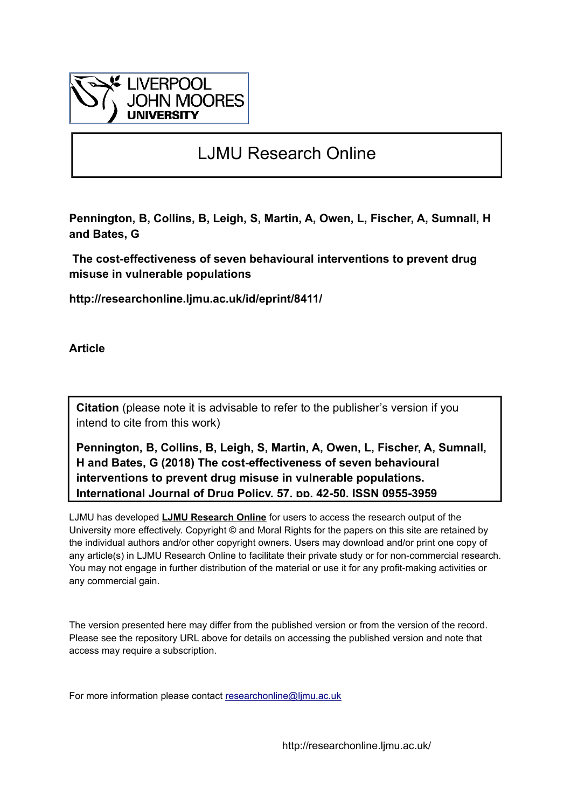

# LJMU Research Online

**Pennington, B, Collins, B, Leigh, S, Martin, A, Owen, L, Fischer, A, Sumnall, H and Bates, G**

 **The cost-effectiveness of seven behavioural interventions to prevent drug misuse in vulnerable populations**

**http://researchonline.ljmu.ac.uk/id/eprint/8411/**

**Article**

**Citation** (please note it is advisable to refer to the publisher's version if you intend to cite from this work)

**Pennington, B, Collins, B, Leigh, S, Martin, A, Owen, L, Fischer, A, Sumnall, H and Bates, G (2018) The cost-effectiveness of seven behavioural interventions to prevent drug misuse in vulnerable populations. International Journal of Drug Policy, 57. pp. 42-50. ISSN 0955-3959** 

LJMU has developed **[LJMU Research Online](http://researchonline.ljmu.ac.uk/)** for users to access the research output of the University more effectively. Copyright © and Moral Rights for the papers on this site are retained by the individual authors and/or other copyright owners. Users may download and/or print one copy of any article(s) in LJMU Research Online to facilitate their private study or for non-commercial research. You may not engage in further distribution of the material or use it for any profit-making activities or any commercial gain.

The version presented here may differ from the published version or from the version of the record. Please see the repository URL above for details on accessing the published version and note that access may require a subscription.

For more information please contact researchonline@limu.ac.uk

http://researchonline.ljmu.ac.uk/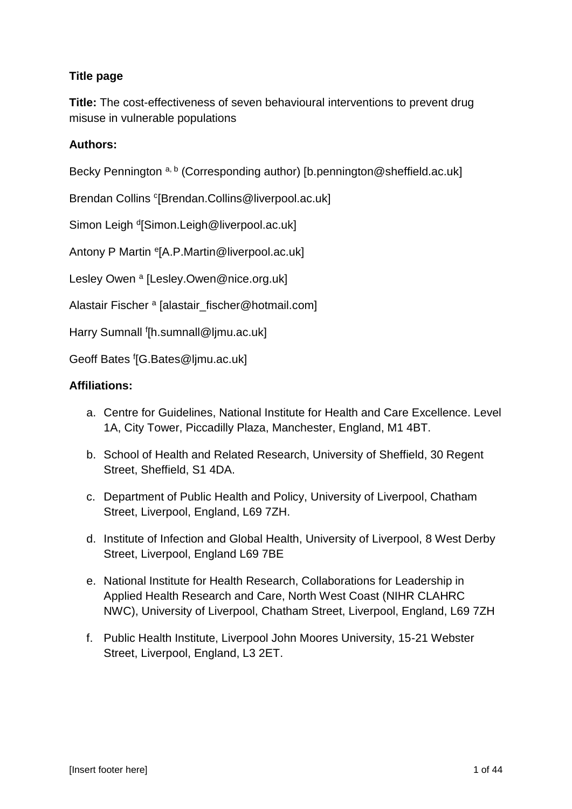## **Title page**

**Title:** The cost-effectiveness of seven behavioural interventions to prevent drug misuse in vulnerable populations

## **Authors:**

Becky Pennington a, b (Corresponding author) [b.pennington@sheffield.ac.uk]

Brendan Collins <sup>c</sup>[Brendan.Collins@liverpool.ac.uk]

Simon Leigh d[Simon.Leigh@liverpool.ac.uk]

Antony P Martin <sup>e</sup>[A.P.Martin@liverpool.ac.uk]

Lesley Owen<sup>a</sup> [Lesley.Owen@nice.org.uk]

Alastair Fischer <sup>a</sup> [alastair\_fischer@hotmail.com]

Harry Sumnall <sup>f</sup>[h.sumnall@ljmu.ac.uk]

Geoff Bates <sup>f</sup> [G.Bates@ljmu.ac.uk]

### **Affiliations:**

- a. Centre for Guidelines, National Institute for Health and Care Excellence. Level 1A, City Tower, Piccadilly Plaza, Manchester, England, M1 4BT.
- b. School of Health and Related Research, University of Sheffield, 30 Regent Street, Sheffield, S1 4DA.
- c. Department of Public Health and Policy, University of Liverpool, Chatham Street, Liverpool, England, L69 7ZH.
- d. Institute of Infection and Global Health, University of Liverpool, 8 West Derby Street, Liverpool, England L69 7BE
- e. National Institute for Health Research, Collaborations for Leadership in Applied Health Research and Care, North West Coast (NIHR CLAHRC NWC), University of Liverpool, Chatham Street, Liverpool, England, L69 7ZH
- f. Public Health Institute, Liverpool John Moores University, 15-21 Webster Street, Liverpool, England, L3 2ET.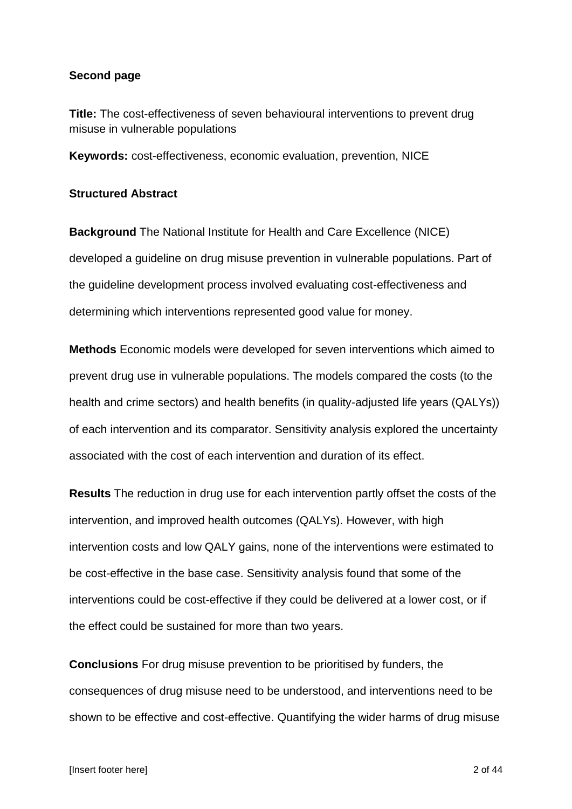### **Second page**

**Title:** The cost-effectiveness of seven behavioural interventions to prevent drug misuse in vulnerable populations

**Keywords:** cost-effectiveness, economic evaluation, prevention, NICE

### **Structured Abstract**

**Background** The National Institute for Health and Care Excellence (NICE) developed a guideline on drug misuse prevention in vulnerable populations. Part of the guideline development process involved evaluating cost-effectiveness and determining which interventions represented good value for money.

**Methods** Economic models were developed for seven interventions which aimed to prevent drug use in vulnerable populations. The models compared the costs (to the health and crime sectors) and health benefits (in quality-adjusted life years (QALYs)) of each intervention and its comparator. Sensitivity analysis explored the uncertainty associated with the cost of each intervention and duration of its effect.

**Results** The reduction in drug use for each intervention partly offset the costs of the intervention, and improved health outcomes (QALYs). However, with high intervention costs and low QALY gains, none of the interventions were estimated to be cost-effective in the base case. Sensitivity analysis found that some of the interventions could be cost-effective if they could be delivered at a lower cost, or if the effect could be sustained for more than two years.

**Conclusions** For drug misuse prevention to be prioritised by funders, the consequences of drug misuse need to be understood, and interventions need to be shown to be effective and cost-effective. Quantifying the wider harms of drug misuse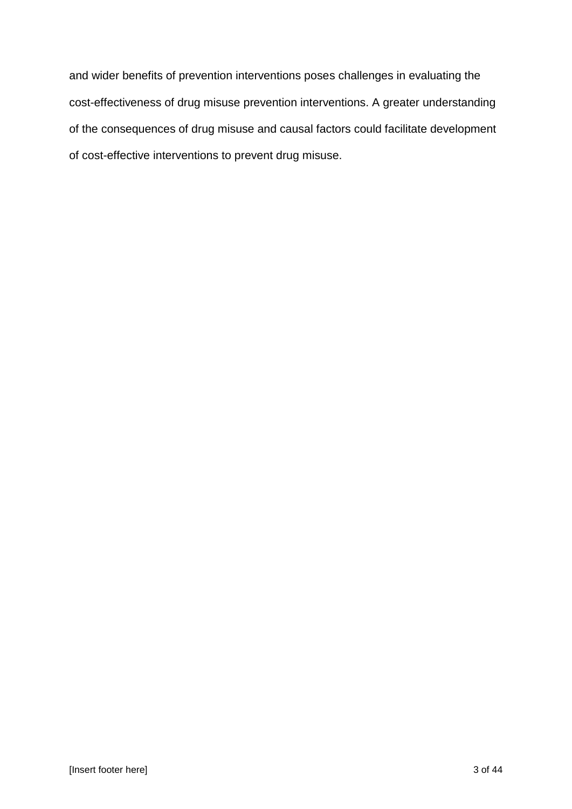and wider benefits of prevention interventions poses challenges in evaluating the cost-effectiveness of drug misuse prevention interventions. A greater understanding of the consequences of drug misuse and causal factors could facilitate development of cost-effective interventions to prevent drug misuse.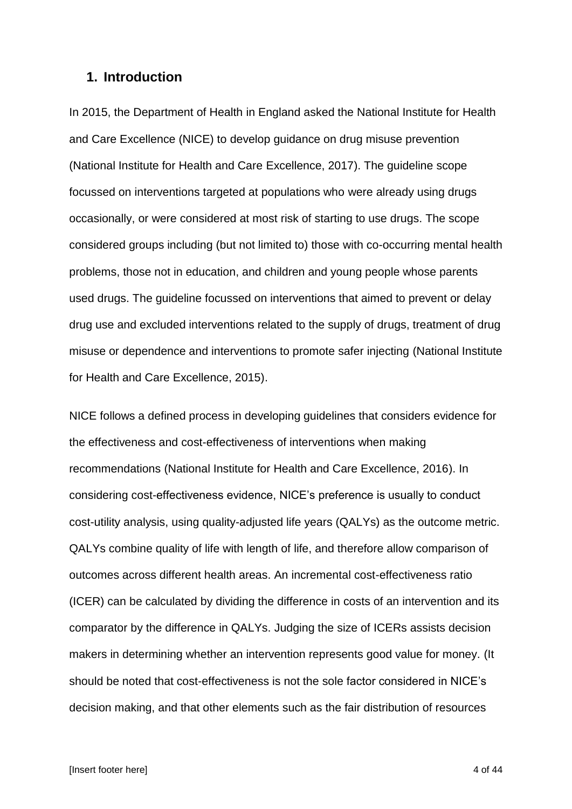### **1. Introduction**

In 2015, the Department of Health in England asked the National Institute for Health and Care Excellence (NICE) to develop guidance on drug misuse prevention (National Institute for Health and Care Excellence, 2017). The guideline scope focussed on interventions targeted at populations who were already using drugs occasionally, or were considered at most risk of starting to use drugs. The scope considered groups including (but not limited to) those with co-occurring mental health problems, those not in education, and children and young people whose parents used drugs. The guideline focussed on interventions that aimed to prevent or delay drug use and excluded interventions related to the supply of drugs, treatment of drug misuse or dependence and interventions to promote safer injecting (National Institute for Health and Care Excellence, 2015).

NICE follows a defined process in developing guidelines that considers evidence for the effectiveness and cost-effectiveness of interventions when making recommendations (National Institute for Health and Care Excellence, 2016). In considering cost-effectiveness evidence, NICE's preference is usually to conduct cost-utility analysis, using quality-adjusted life years (QALYs) as the outcome metric. QALYs combine quality of life with length of life, and therefore allow comparison of outcomes across different health areas. An incremental cost-effectiveness ratio (ICER) can be calculated by dividing the difference in costs of an intervention and its comparator by the difference in QALYs. Judging the size of ICERs assists decision makers in determining whether an intervention represents good value for money. (It should be noted that cost-effectiveness is not the sole factor considered in NICE's decision making, and that other elements such as the fair distribution of resources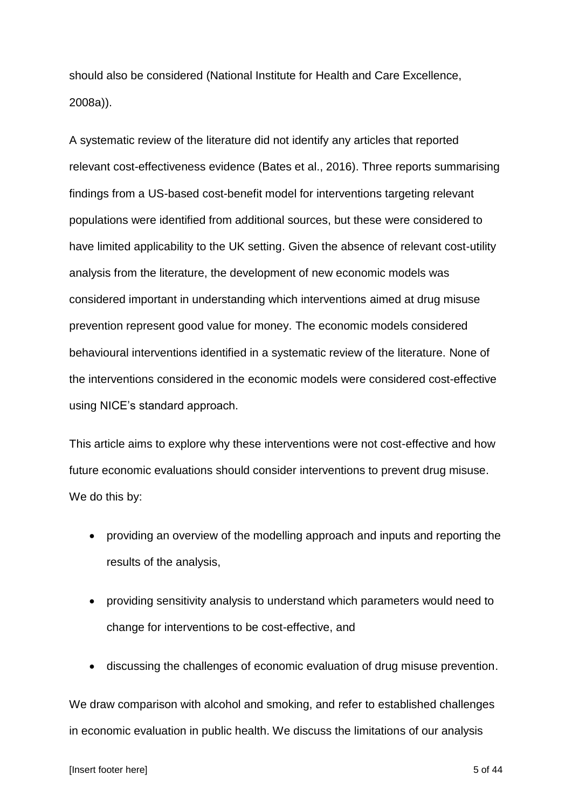should also be considered (National Institute for Health and Care Excellence, 2008a)).

A systematic review of the literature did not identify any articles that reported relevant cost-effectiveness evidence (Bates et al., 2016). Three reports summarising findings from a US-based cost-benefit model for interventions targeting relevant populations were identified from additional sources, but these were considered to have limited applicability to the UK setting. Given the absence of relevant cost-utility analysis from the literature, the development of new economic models was considered important in understanding which interventions aimed at drug misuse prevention represent good value for money. The economic models considered behavioural interventions identified in a systematic review of the literature. None of the interventions considered in the economic models were considered cost-effective using NICE's standard approach.

This article aims to explore why these interventions were not cost-effective and how future economic evaluations should consider interventions to prevent drug misuse. We do this by:

- providing an overview of the modelling approach and inputs and reporting the results of the analysis,
- providing sensitivity analysis to understand which parameters would need to change for interventions to be cost-effective, and
- discussing the challenges of economic evaluation of drug misuse prevention.

We draw comparison with alcohol and smoking, and refer to established challenges in economic evaluation in public health. We discuss the limitations of our analysis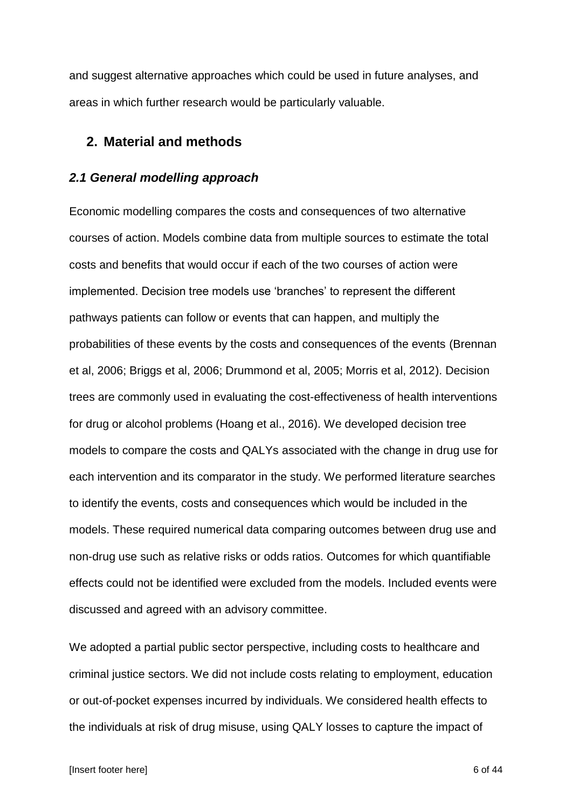and suggest alternative approaches which could be used in future analyses, and areas in which further research would be particularly valuable.

## **2. Material and methods**

### *2.1 General modelling approach*

Economic modelling compares the costs and consequences of two alternative courses of action. Models combine data from multiple sources to estimate the total costs and benefits that would occur if each of the two courses of action were implemented. Decision tree models use 'branches' to represent the different pathways patients can follow or events that can happen, and multiply the probabilities of these events by the costs and consequences of the events (Brennan et al, 2006; Briggs et al, 2006; Drummond et al, 2005; Morris et al, 2012). Decision trees are commonly used in evaluating the cost-effectiveness of health interventions for drug or alcohol problems (Hoang et al., 2016). We developed decision tree models to compare the costs and QALYs associated with the change in drug use for each intervention and its comparator in the study. We performed literature searches to identify the events, costs and consequences which would be included in the models. These required numerical data comparing outcomes between drug use and non-drug use such as relative risks or odds ratios. Outcomes for which quantifiable effects could not be identified were excluded from the models. Included events were discussed and agreed with an advisory committee.

We adopted a partial public sector perspective, including costs to healthcare and criminal justice sectors. We did not include costs relating to employment, education or out-of-pocket expenses incurred by individuals. We considered health effects to the individuals at risk of drug misuse, using QALY losses to capture the impact of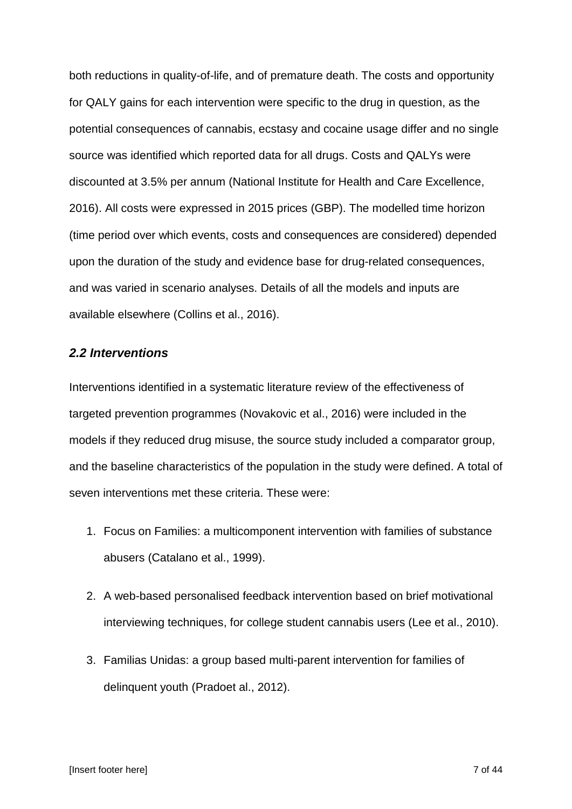both reductions in quality-of-life, and of premature death. The costs and opportunity for QALY gains for each intervention were specific to the drug in question, as the potential consequences of cannabis, ecstasy and cocaine usage differ and no single source was identified which reported data for all drugs. Costs and QALYs were discounted at 3.5% per annum (National Institute for Health and Care Excellence, 2016). All costs were expressed in 2015 prices (GBP). The modelled time horizon (time period over which events, costs and consequences are considered) depended upon the duration of the study and evidence base for drug-related consequences, and was varied in scenario analyses. Details of all the models and inputs are available elsewhere (Collins et al., 2016).

### *2.2 Interventions*

Interventions identified in a systematic literature review of the effectiveness of targeted prevention programmes (Novakovic et al., 2016) were included in the models if they reduced drug misuse, the source study included a comparator group, and the baseline characteristics of the population in the study were defined. A total of seven interventions met these criteria. These were:

- 1. Focus on Families: a multicomponent intervention with families of substance abusers (Catalano et al., 1999).
- 2. A web-based personalised feedback intervention based on brief motivational interviewing techniques, for college student cannabis users (Lee et al., 2010).
- 3. Familias Unidas: a group based multi-parent intervention for families of delinquent youth (Pradoet al., 2012).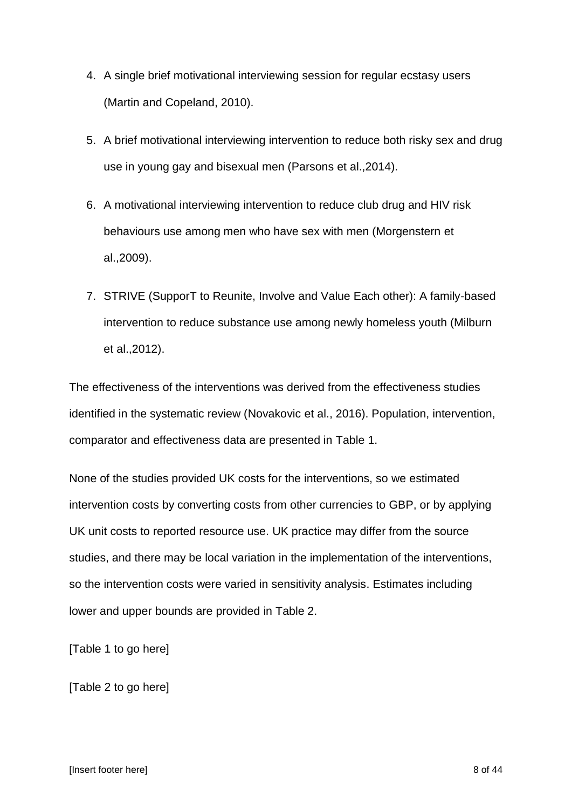- 4. A single brief motivational interviewing session for regular ecstasy users (Martin and Copeland, 2010).
- 5. A brief motivational interviewing intervention to reduce both risky sex and drug use in young gay and bisexual men (Parsons et al.,2014).
- 6. A motivational interviewing intervention to reduce club drug and HIV risk behaviours use among men who have sex with men (Morgenstern et al.,2009).
- 7. STRIVE (SupporT to Reunite, Involve and Value Each other): A family-based intervention to reduce substance use among newly homeless youth (Milburn et al.,2012).

The effectiveness of the interventions was derived from the effectiveness studies identified in the systematic review (Novakovic et al., 2016). Population, intervention, comparator and effectiveness data are presented in Table 1.

None of the studies provided UK costs for the interventions, so we estimated intervention costs by converting costs from other currencies to GBP, or by applying UK unit costs to reported resource use. UK practice may differ from the source studies, and there may be local variation in the implementation of the interventions, so the intervention costs were varied in sensitivity analysis. Estimates including lower and upper bounds are provided in Table 2.

[Table 1 to go here]

[Table 2 to go here]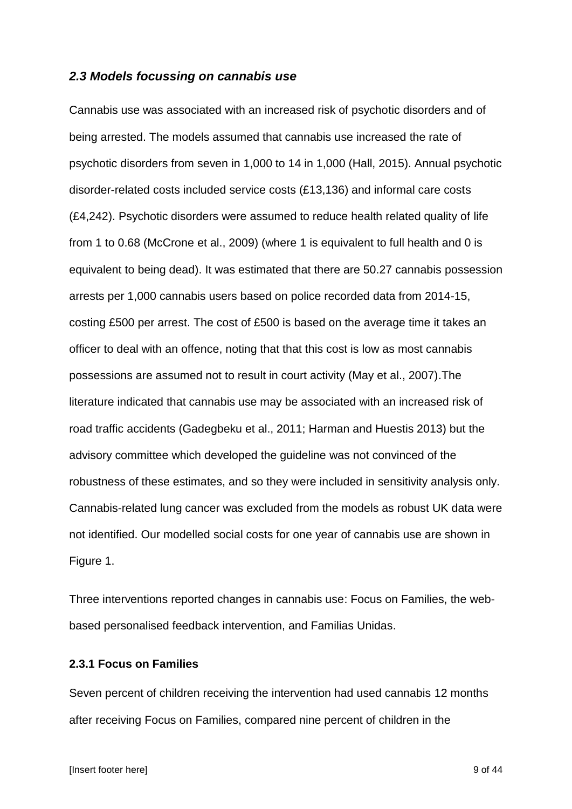### *2.3 Models focussing on cannabis use*

Cannabis use was associated with an increased risk of psychotic disorders and of being arrested. The models assumed that cannabis use increased the rate of psychotic disorders from seven in 1,000 to 14 in 1,000 (Hall, 2015). Annual psychotic disorder-related costs included service costs (£13,136) and informal care costs (£4,242). Psychotic disorders were assumed to reduce health related quality of life from 1 to 0.68 (McCrone et al., 2009) (where 1 is equivalent to full health and 0 is equivalent to being dead). It was estimated that there are 50.27 cannabis possession arrests per 1,000 cannabis users based on police recorded data from 2014-15, costing £500 per arrest. The cost of £500 is based on the average time it takes an officer to deal with an offence, noting that that this cost is low as most cannabis possessions are assumed not to result in court activity (May et al., 2007).The literature indicated that cannabis use may be associated with an increased risk of road traffic accidents (Gadegbeku et al., 2011; Harman and Huestis 2013) but the advisory committee which developed the guideline was not convinced of the robustness of these estimates, and so they were included in sensitivity analysis only. Cannabis-related lung cancer was excluded from the models as robust UK data were not identified. Our modelled social costs for one year of cannabis use are shown in Figure 1.

Three interventions reported changes in cannabis use: Focus on Families, the webbased personalised feedback intervention, and Familias Unidas.

### **2.3.1 Focus on Families**

Seven percent of children receiving the intervention had used cannabis 12 months after receiving Focus on Families, compared nine percent of children in the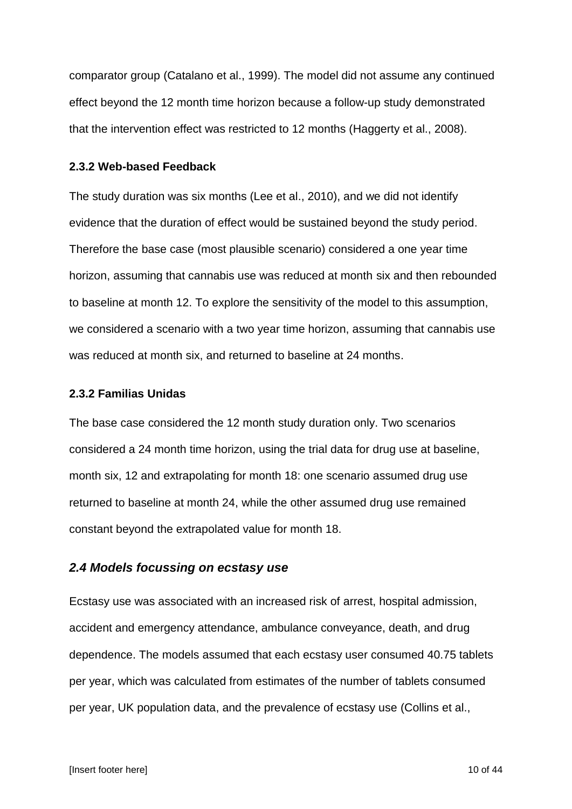comparator group (Catalano et al., 1999). The model did not assume any continued effect beyond the 12 month time horizon because a follow-up study demonstrated that the intervention effect was restricted to 12 months (Haggerty et al., 2008).

#### **2.3.2 Web-based Feedback**

The study duration was six months (Lee et al., 2010), and we did not identify evidence that the duration of effect would be sustained beyond the study period. Therefore the base case (most plausible scenario) considered a one year time horizon, assuming that cannabis use was reduced at month six and then rebounded to baseline at month 12. To explore the sensitivity of the model to this assumption, we considered a scenario with a two year time horizon, assuming that cannabis use was reduced at month six, and returned to baseline at 24 months.

### **2.3.2 Familias Unidas**

The base case considered the 12 month study duration only. Two scenarios considered a 24 month time horizon, using the trial data for drug use at baseline, month six, 12 and extrapolating for month 18: one scenario assumed drug use returned to baseline at month 24, while the other assumed drug use remained constant beyond the extrapolated value for month 18.

### *2.4 Models focussing on ecstasy use*

Ecstasy use was associated with an increased risk of arrest, hospital admission, accident and emergency attendance, ambulance conveyance, death, and drug dependence. The models assumed that each ecstasy user consumed 40.75 tablets per year, which was calculated from estimates of the number of tablets consumed per year, UK population data, and the prevalence of ecstasy use (Collins et al.,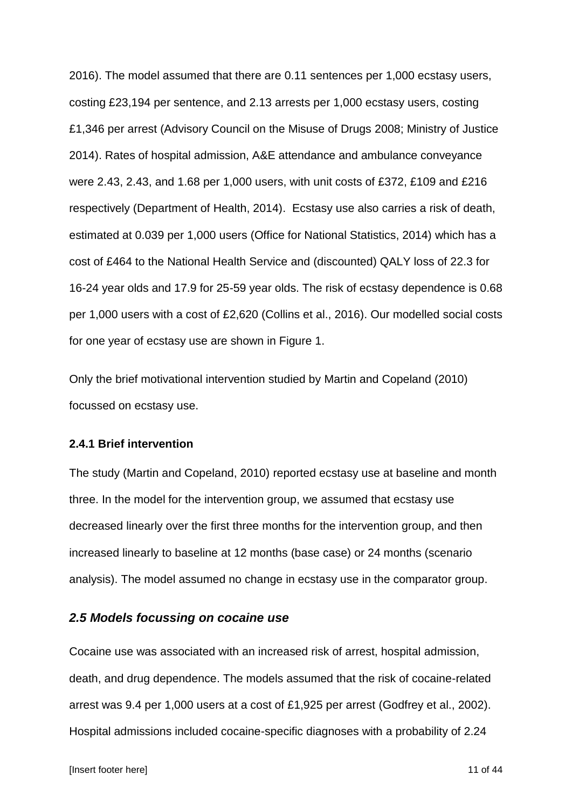2016). The model assumed that there are 0.11 sentences per 1,000 ecstasy users, costing £23,194 per sentence, and 2.13 arrests per 1,000 ecstasy users, costing £1,346 per arrest (Advisory Council on the Misuse of Drugs 2008; Ministry of Justice 2014). Rates of hospital admission, A&E attendance and ambulance conveyance were 2.43, 2.43, and 1.68 per 1,000 users, with unit costs of £372, £109 and £216 respectively (Department of Health, 2014). Ecstasy use also carries a risk of death, estimated at 0.039 per 1,000 users (Office for National Statistics, 2014) which has a cost of £464 to the National Health Service and (discounted) QALY loss of 22.3 for 16-24 year olds and 17.9 for 25-59 year olds. The risk of ecstasy dependence is 0.68 per 1,000 users with a cost of £2,620 (Collins et al., 2016). Our modelled social costs for one year of ecstasy use are shown in Figure 1.

Only the brief motivational intervention studied by Martin and Copeland (2010) focussed on ecstasy use.

### **2.4.1 Brief intervention**

The study (Martin and Copeland, 2010) reported ecstasy use at baseline and month three. In the model for the intervention group, we assumed that ecstasy use decreased linearly over the first three months for the intervention group, and then increased linearly to baseline at 12 months (base case) or 24 months (scenario analysis). The model assumed no change in ecstasy use in the comparator group.

### *2.5 Models focussing on cocaine use*

Cocaine use was associated with an increased risk of arrest, hospital admission, death, and drug dependence. The models assumed that the risk of cocaine-related arrest was 9.4 per 1,000 users at a cost of £1,925 per arrest (Godfrey et al., 2002). Hospital admissions included cocaine-specific diagnoses with a probability of 2.24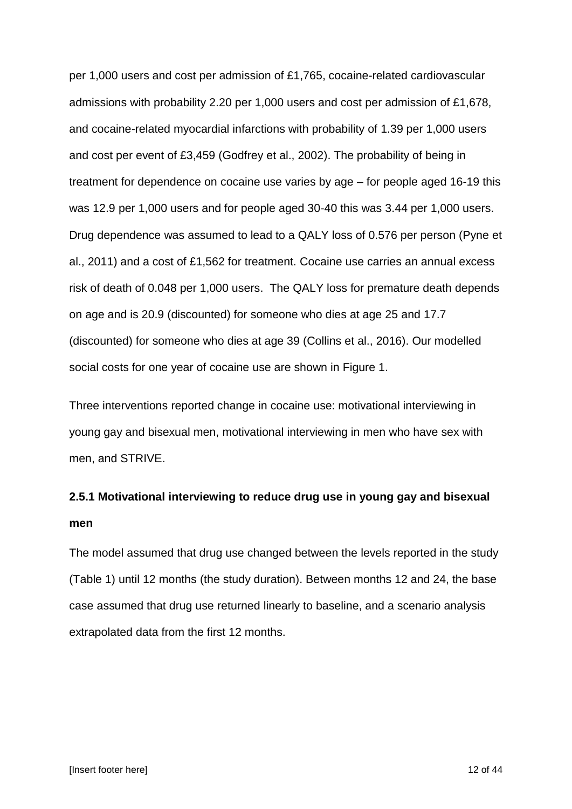per 1,000 users and cost per admission of £1,765, cocaine-related cardiovascular admissions with probability 2.20 per 1,000 users and cost per admission of £1,678, and cocaine-related myocardial infarctions with probability of 1.39 per 1,000 users and cost per event of £3,459 (Godfrey et al., 2002). The probability of being in treatment for dependence on cocaine use varies by age – for people aged 16-19 this was 12.9 per 1,000 users and for people aged 30-40 this was 3.44 per 1,000 users. Drug dependence was assumed to lead to a QALY loss of 0.576 per person (Pyne et al., 2011) and a cost of £1,562 for treatment. Cocaine use carries an annual excess risk of death of 0.048 per 1,000 users. The QALY loss for premature death depends on age and is 20.9 (discounted) for someone who dies at age 25 and 17.7 (discounted) for someone who dies at age 39 (Collins et al., 2016). Our modelled social costs for one year of cocaine use are shown in Figure 1.

Three interventions reported change in cocaine use: motivational interviewing in young gay and bisexual men, motivational interviewing in men who have sex with men, and STRIVE.

## **2.5.1 Motivational interviewing to reduce drug use in young gay and bisexual men**

The model assumed that drug use changed between the levels reported in the study (Table 1) until 12 months (the study duration). Between months 12 and 24, the base case assumed that drug use returned linearly to baseline, and a scenario analysis extrapolated data from the first 12 months.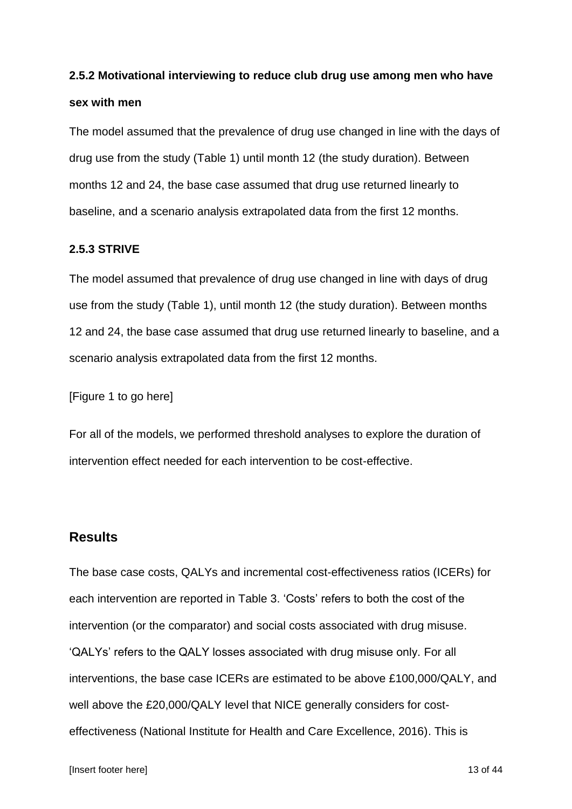## **2.5.2 Motivational interviewing to reduce club drug use among men who have sex with men**

The model assumed that the prevalence of drug use changed in line with the days of drug use from the study (Table 1) until month 12 (the study duration). Between months 12 and 24, the base case assumed that drug use returned linearly to baseline, and a scenario analysis extrapolated data from the first 12 months.

### **2.5.3 STRIVE**

The model assumed that prevalence of drug use changed in line with days of drug use from the study (Table 1), until month 12 (the study duration). Between months 12 and 24, the base case assumed that drug use returned linearly to baseline, and a scenario analysis extrapolated data from the first 12 months.

[Figure 1 to go here]

For all of the models, we performed threshold analyses to explore the duration of intervention effect needed for each intervention to be cost-effective.

## **Results**

The base case costs, QALYs and incremental cost-effectiveness ratios (ICERs) for each intervention are reported in Table 3. 'Costs' refers to both the cost of the intervention (or the comparator) and social costs associated with drug misuse. 'QALYs' refers to the QALY losses associated with drug misuse only. For all interventions, the base case ICERs are estimated to be above £100,000/QALY, and well above the £20,000/QALY level that NICE generally considers for costeffectiveness (National Institute for Health and Care Excellence, 2016). This is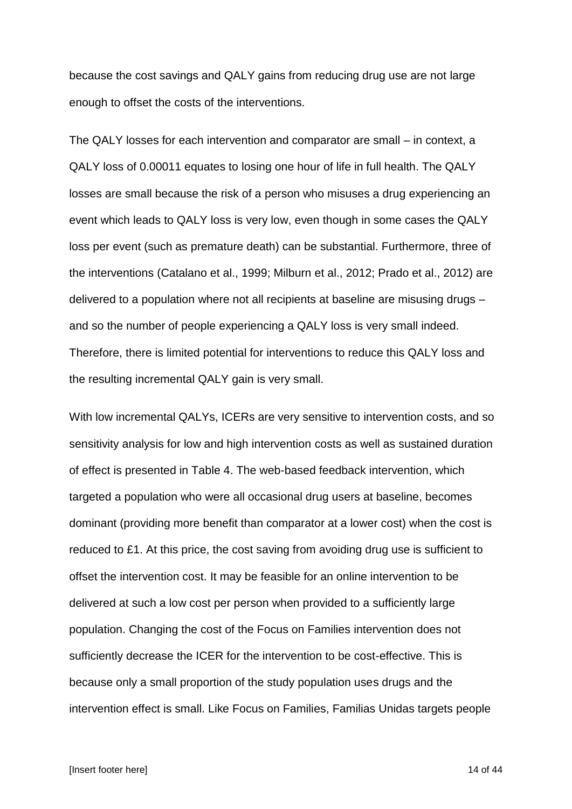because the cost savings and QALY gains from reducing drug use are not large enough to offset the costs of the interventions.

The QALY losses for each intervention and comparator are small – in context, a QALY loss of 0.00011 equates to losing one hour of life in full health. The QALY losses are small because the risk of a person who misuses a drug experiencing an event which leads to QALY loss is very low, even though in some cases the QALY loss per event (such as premature death) can be substantial. Furthermore, three of the interventions (Catalano et al., 1999; Milburn et al., 2012; Prado et al., 2012) are delivered to a population where not all recipients at baseline are misusing drugs – and so the number of people experiencing a QALY loss is very small indeed. Therefore, there is limited potential for interventions to reduce this QALY loss and the resulting incremental QALY gain is very small.

With low incremental QALYs, ICERs are very sensitive to intervention costs, and so sensitivity analysis for low and high intervention costs as well as sustained duration of effect is presented in Table 4. The web-based feedback intervention, which targeted a population who were all occasional drug users at baseline, becomes dominant (providing more benefit than comparator at a lower cost) when the cost is reduced to £1. At this price, the cost saving from avoiding drug use is sufficient to offset the intervention cost. It may be feasible for an online intervention to be delivered at such a low cost per person when provided to a sufficiently large population. Changing the cost of the Focus on Families intervention does not sufficiently decrease the ICER for the intervention to be cost-effective. This is because only a small proportion of the study population uses drugs and the intervention effect is small. Like Focus on Families, Familias Unidas targets people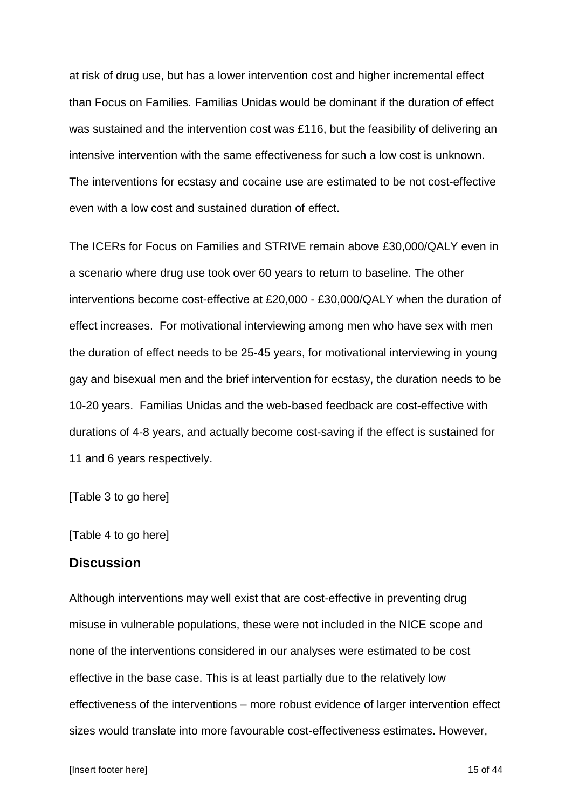at risk of drug use, but has a lower intervention cost and higher incremental effect than Focus on Families. Familias Unidas would be dominant if the duration of effect was sustained and the intervention cost was £116, but the feasibility of delivering an intensive intervention with the same effectiveness for such a low cost is unknown. The interventions for ecstasy and cocaine use are estimated to be not cost-effective even with a low cost and sustained duration of effect.

The ICERs for Focus on Families and STRIVE remain above £30,000/QALY even in a scenario where drug use took over 60 years to return to baseline. The other interventions become cost-effective at £20,000 - £30,000/QALY when the duration of effect increases. For motivational interviewing among men who have sex with men the duration of effect needs to be 25-45 years, for motivational interviewing in young gay and bisexual men and the brief intervention for ecstasy, the duration needs to be 10-20 years. Familias Unidas and the web-based feedback are cost-effective with durations of 4-8 years, and actually become cost-saving if the effect is sustained for 11 and 6 years respectively.

[Table 3 to go here]

### [Table 4 to go here]

### **Discussion**

Although interventions may well exist that are cost-effective in preventing drug misuse in vulnerable populations, these were not included in the NICE scope and none of the interventions considered in our analyses were estimated to be cost effective in the base case. This is at least partially due to the relatively low effectiveness of the interventions – more robust evidence of larger intervention effect sizes would translate into more favourable cost-effectiveness estimates. However,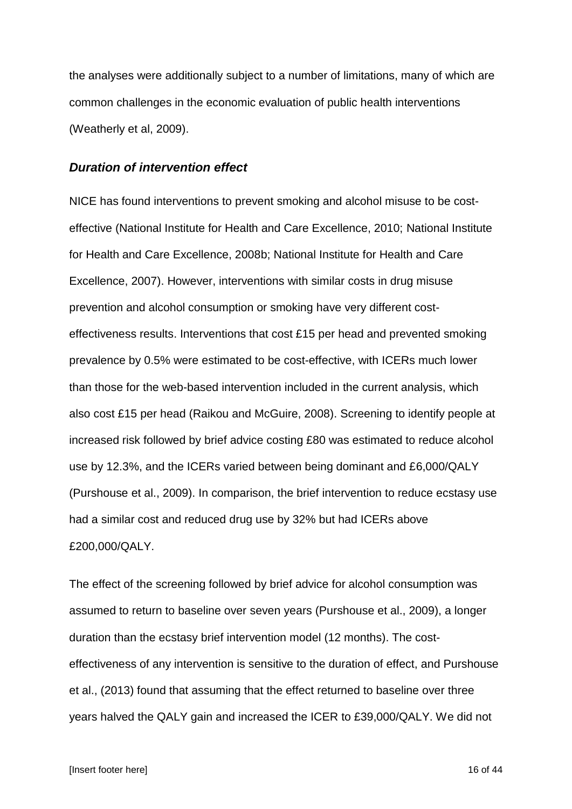the analyses were additionally subject to a number of limitations, many of which are common challenges in the economic evaluation of public health interventions (Weatherly et al, 2009).

### *Duration of intervention effect*

NICE has found interventions to prevent smoking and alcohol misuse to be costeffective (National Institute for Health and Care Excellence, 2010; National Institute for Health and Care Excellence, 2008b; National Institute for Health and Care Excellence, 2007). However, interventions with similar costs in drug misuse prevention and alcohol consumption or smoking have very different costeffectiveness results. Interventions that cost £15 per head and prevented smoking prevalence by 0.5% were estimated to be cost-effective, with ICERs much lower than those for the web-based intervention included in the current analysis, which also cost £15 per head (Raikou and McGuire, 2008). Screening to identify people at increased risk followed by brief advice costing £80 was estimated to reduce alcohol use by 12.3%, and the ICERs varied between being dominant and £6,000/QALY (Purshouse et al., 2009). In comparison, the brief intervention to reduce ecstasy use had a similar cost and reduced drug use by 32% but had ICERs above £200,000/QALY.

The effect of the screening followed by brief advice for alcohol consumption was assumed to return to baseline over seven years (Purshouse et al., 2009), a longer duration than the ecstasy brief intervention model (12 months). The costeffectiveness of any intervention is sensitive to the duration of effect, and Purshouse et al., (2013) found that assuming that the effect returned to baseline over three years halved the QALY gain and increased the ICER to £39,000/QALY. We did not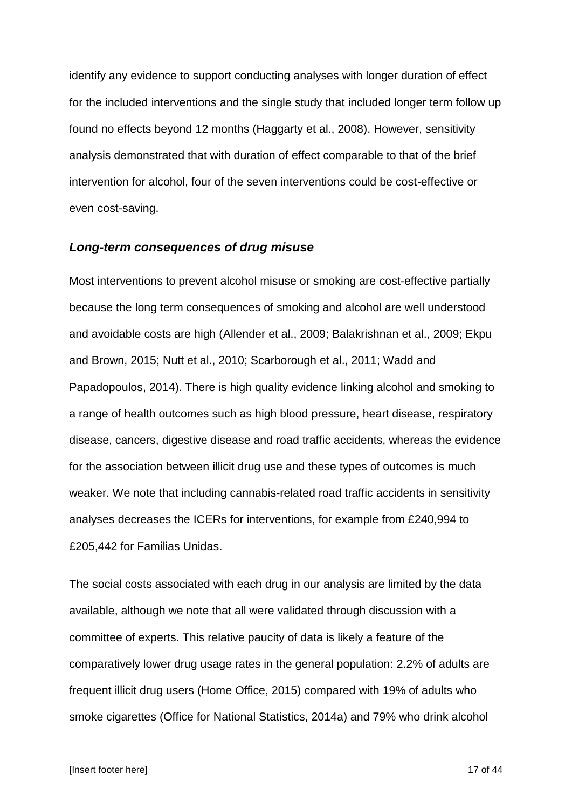identify any evidence to support conducting analyses with longer duration of effect for the included interventions and the single study that included longer term follow up found no effects beyond 12 months (Haggarty et al., 2008). However, sensitivity analysis demonstrated that with duration of effect comparable to that of the brief intervention for alcohol, four of the seven interventions could be cost-effective or even cost-saving.

### *Long-term consequences of drug misuse*

Most interventions to prevent alcohol misuse or smoking are cost-effective partially because the long term consequences of smoking and alcohol are well understood and avoidable costs are high (Allender et al., 2009; Balakrishnan et al., 2009; Ekpu and Brown, 2015; Nutt et al., 2010; Scarborough et al., 2011; Wadd and Papadopoulos, 2014). There is high quality evidence linking alcohol and smoking to a range of health outcomes such as high blood pressure, heart disease, respiratory disease, cancers, digestive disease and road traffic accidents, whereas the evidence for the association between illicit drug use and these types of outcomes is much weaker. We note that including cannabis-related road traffic accidents in sensitivity analyses decreases the ICERs for interventions, for example from £240,994 to £205,442 for Familias Unidas.

The social costs associated with each drug in our analysis are limited by the data available, although we note that all were validated through discussion with a committee of experts. This relative paucity of data is likely a feature of the comparatively lower drug usage rates in the general population: 2.2% of adults are frequent illicit drug users (Home Office, 2015) compared with 19% of adults who smoke cigarettes (Office for National Statistics, 2014a) and 79% who drink alcohol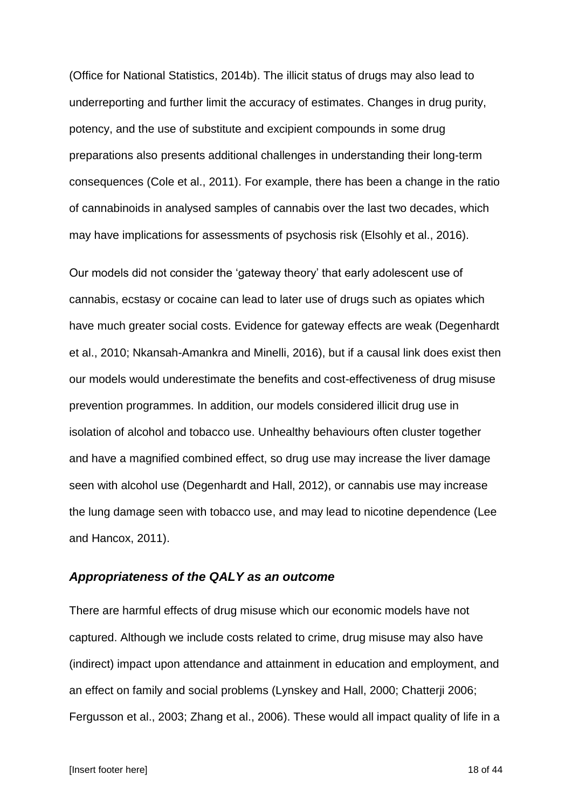(Office for National Statistics, 2014b). The illicit status of drugs may also lead to underreporting and further limit the accuracy of estimates. Changes in drug purity, potency, and the use of substitute and excipient compounds in some drug preparations also presents additional challenges in understanding their long-term consequences (Cole et al., 2011). For example, there has been a change in the ratio of cannabinoids in analysed samples of cannabis over the last two decades, which may have implications for assessments of psychosis risk (Elsohly et al., 2016).

Our models did not consider the 'gateway theory' that early adolescent use of cannabis, ecstasy or cocaine can lead to later use of drugs such as opiates which have much greater social costs. Evidence for gateway effects are weak (Degenhardt et al., 2010; Nkansah-Amankra and Minelli, 2016), but if a causal link does exist then our models would underestimate the benefits and cost-effectiveness of drug misuse prevention programmes. In addition, our models considered illicit drug use in isolation of alcohol and tobacco use. Unhealthy behaviours often cluster together and have a magnified combined effect, so drug use may increase the liver damage seen with alcohol use (Degenhardt and Hall, 2012), or cannabis use may increase the lung damage seen with tobacco use, and may lead to nicotine dependence (Lee and Hancox, 2011).

### *Appropriateness of the QALY as an outcome*

There are harmful effects of drug misuse which our economic models have not captured. Although we include costs related to crime, drug misuse may also have (indirect) impact upon attendance and attainment in education and employment, and an effect on family and social problems (Lynskey and Hall, 2000; Chatterji 2006; Fergusson et al., 2003; Zhang et al., 2006). These would all impact quality of life in a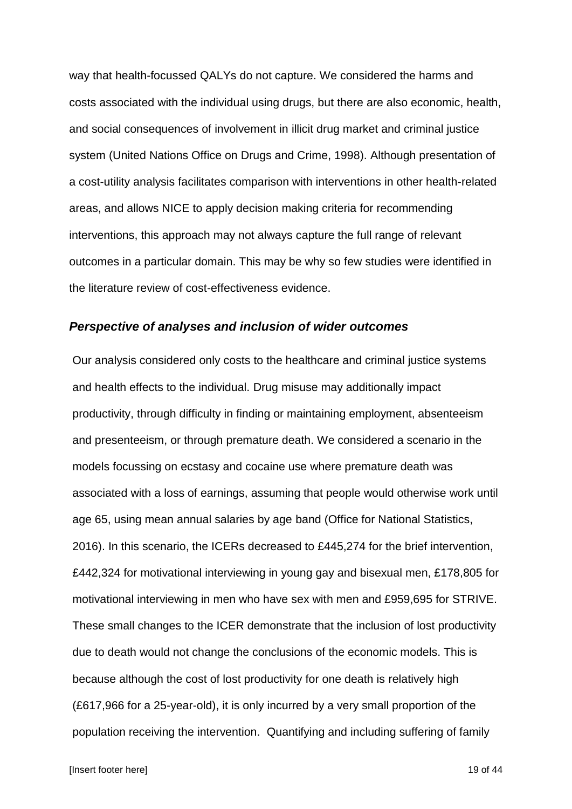way that health-focussed QALYs do not capture. We considered the harms and costs associated with the individual using drugs, but there are also economic, health, and social consequences of involvement in illicit drug market and criminal justice system (United Nations Office on Drugs and Crime, 1998). Although presentation of a cost-utility analysis facilitates comparison with interventions in other health-related areas, and allows NICE to apply decision making criteria for recommending interventions, this approach may not always capture the full range of relevant outcomes in a particular domain. This may be why so few studies were identified in the literature review of cost-effectiveness evidence.

### *Perspective of analyses and inclusion of wider outcomes*

Our analysis considered only costs to the healthcare and criminal justice systems and health effects to the individual. Drug misuse may additionally impact productivity, through difficulty in finding or maintaining employment, absenteeism and presenteeism, or through premature death. We considered a scenario in the models focussing on ecstasy and cocaine use where premature death was associated with a loss of earnings, assuming that people would otherwise work until age 65, using mean annual salaries by age band (Office for National Statistics, 2016). In this scenario, the ICERs decreased to £445,274 for the brief intervention, £442,324 for motivational interviewing in young gay and bisexual men, £178,805 for motivational interviewing in men who have sex with men and £959,695 for STRIVE. These small changes to the ICER demonstrate that the inclusion of lost productivity due to death would not change the conclusions of the economic models. This is because although the cost of lost productivity for one death is relatively high (£617,966 for a 25-year-old), it is only incurred by a very small proportion of the population receiving the intervention. Quantifying and including suffering of family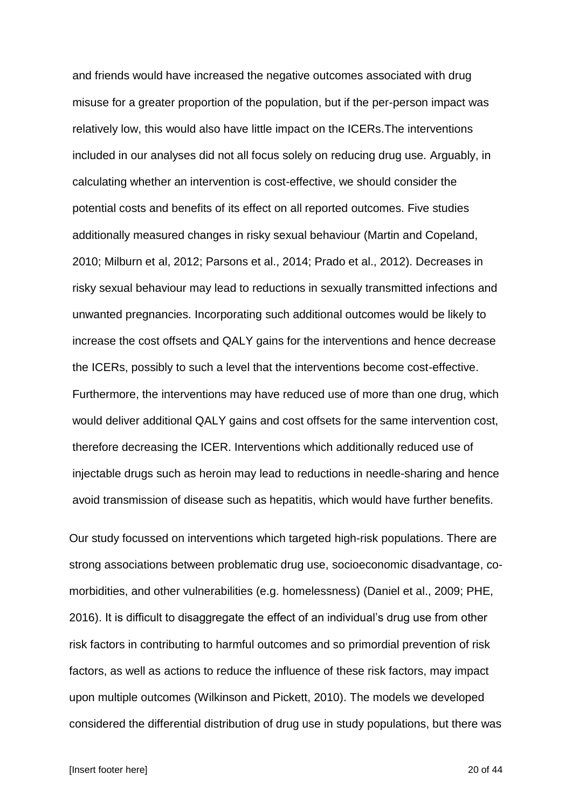and friends would have increased the negative outcomes associated with drug misuse for a greater proportion of the population, but if the per-person impact was relatively low, this would also have little impact on the ICERs.The interventions included in our analyses did not all focus solely on reducing drug use. Arguably, in calculating whether an intervention is cost-effective, we should consider the potential costs and benefits of its effect on all reported outcomes. Five studies additionally measured changes in risky sexual behaviour (Martin and Copeland, 2010; Milburn et al, 2012; Parsons et al., 2014; Prado et al., 2012). Decreases in risky sexual behaviour may lead to reductions in sexually transmitted infections and unwanted pregnancies. Incorporating such additional outcomes would be likely to increase the cost offsets and QALY gains for the interventions and hence decrease the ICERs, possibly to such a level that the interventions become cost-effective. Furthermore, the interventions may have reduced use of more than one drug, which would deliver additional QALY gains and cost offsets for the same intervention cost, therefore decreasing the ICER. Interventions which additionally reduced use of injectable drugs such as heroin may lead to reductions in needle-sharing and hence avoid transmission of disease such as hepatitis, which would have further benefits.

Our study focussed on interventions which targeted high-risk populations. There are strong associations between problematic drug use, socioeconomic disadvantage, comorbidities, and other vulnerabilities (e.g. homelessness) (Daniel et al., 2009; PHE, 2016). It is difficult to disaggregate the effect of an individual's drug use from other risk factors in contributing to harmful outcomes and so primordial prevention of risk factors, as well as actions to reduce the influence of these risk factors, may impact upon multiple outcomes (Wilkinson and Pickett, 2010). The models we developed considered the differential distribution of drug use in study populations, but there was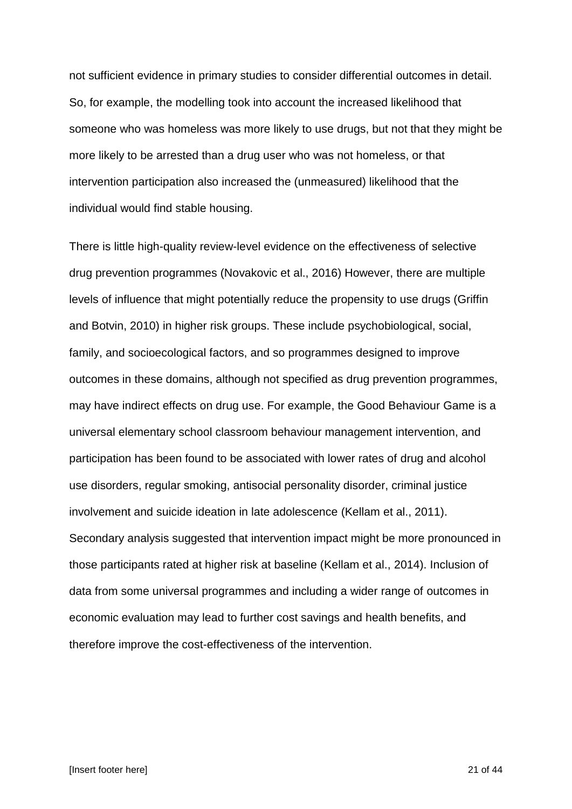not sufficient evidence in primary studies to consider differential outcomes in detail. So, for example, the modelling took into account the increased likelihood that someone who was homeless was more likely to use drugs, but not that they might be more likely to be arrested than a drug user who was not homeless, or that intervention participation also increased the (unmeasured) likelihood that the individual would find stable housing.

There is little high-quality review-level evidence on the effectiveness of selective drug prevention programmes (Novakovic et al., 2016) However, there are multiple levels of influence that might potentially reduce the propensity to use drugs (Griffin and Botvin, 2010) in higher risk groups. These include psychobiological, social, family, and socioecological factors, and so programmes designed to improve outcomes in these domains, although not specified as drug prevention programmes, may have indirect effects on drug use. For example, the Good Behaviour Game is a universal elementary school classroom behaviour management intervention, and participation has been found to be associated with lower rates of drug and alcohol use disorders, regular smoking, antisocial personality disorder, criminal justice involvement and suicide ideation in late adolescence (Kellam et al., 2011). Secondary analysis suggested that intervention impact might be more pronounced in those participants rated at higher risk at baseline (Kellam et al., 2014). Inclusion of data from some universal programmes and including a wider range of outcomes in economic evaluation may lead to further cost savings and health benefits, and therefore improve the cost-effectiveness of the intervention.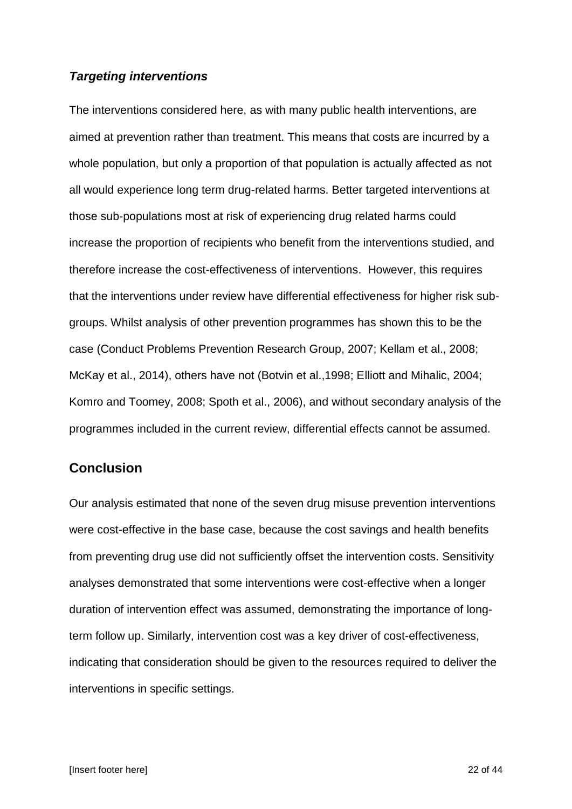### *Targeting interventions*

The interventions considered here, as with many public health interventions, are aimed at prevention rather than treatment. This means that costs are incurred by a whole population, but only a proportion of that population is actually affected as not all would experience long term drug-related harms. Better targeted interventions at those sub-populations most at risk of experiencing drug related harms could increase the proportion of recipients who benefit from the interventions studied, and therefore increase the cost-effectiveness of interventions. However, this requires that the interventions under review have differential effectiveness for higher risk subgroups. Whilst analysis of other prevention programmes has shown this to be the case (Conduct Problems Prevention Research Group, 2007; Kellam et al., 2008; McKay et al., 2014), others have not (Botvin et al.,1998; Elliott and Mihalic, 2004; Komro and Toomey, 2008; Spoth et al., 2006), and without secondary analysis of the programmes included in the current review, differential effects cannot be assumed.

## **Conclusion**

Our analysis estimated that none of the seven drug misuse prevention interventions were cost-effective in the base case, because the cost savings and health benefits from preventing drug use did not sufficiently offset the intervention costs. Sensitivity analyses demonstrated that some interventions were cost-effective when a longer duration of intervention effect was assumed, demonstrating the importance of longterm follow up. Similarly, intervention cost was a key driver of cost-effectiveness, indicating that consideration should be given to the resources required to deliver the interventions in specific settings.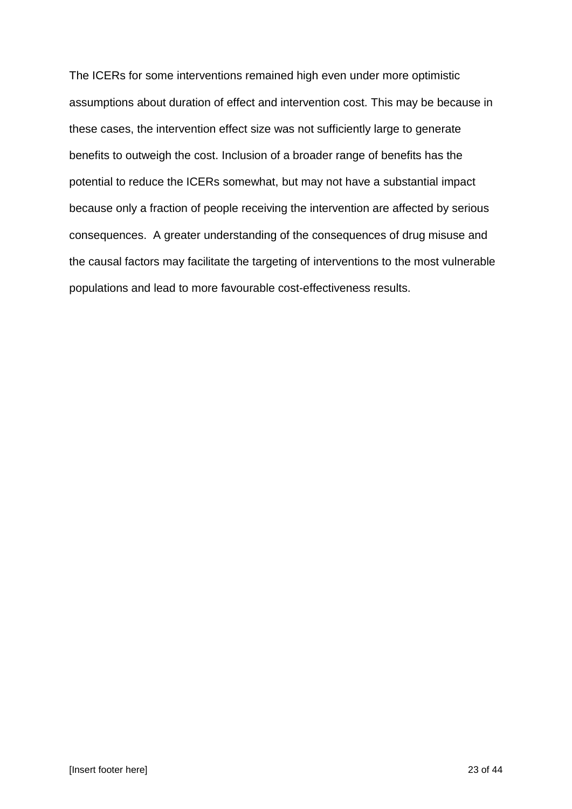The ICERs for some interventions remained high even under more optimistic assumptions about duration of effect and intervention cost. This may be because in these cases, the intervention effect size was not sufficiently large to generate benefits to outweigh the cost. Inclusion of a broader range of benefits has the potential to reduce the ICERs somewhat, but may not have a substantial impact because only a fraction of people receiving the intervention are affected by serious consequences. A greater understanding of the consequences of drug misuse and the causal factors may facilitate the targeting of interventions to the most vulnerable populations and lead to more favourable cost-effectiveness results.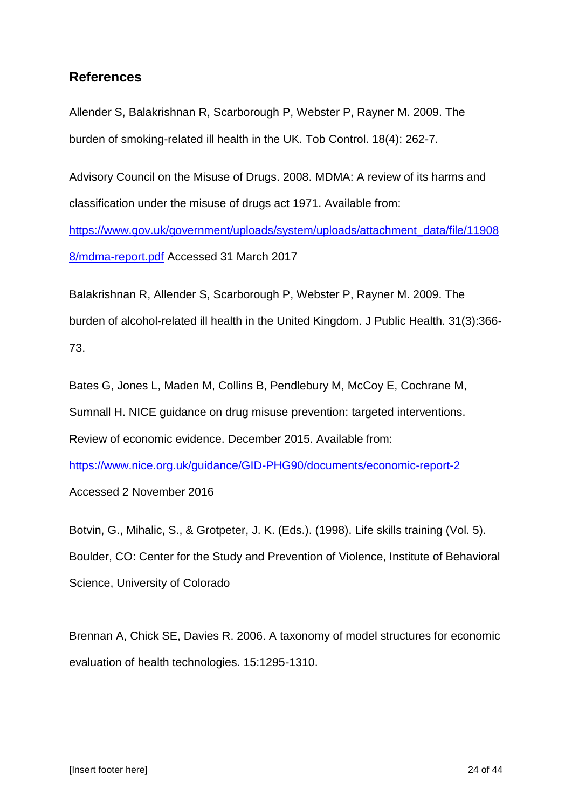## **References**

Allender S, Balakrishnan R, Scarborough P, Webster P, Rayner M. 2009. The burden of smoking-related ill health in the UK. Tob Control. 18(4): 262-7.

Advisory Council on the Misuse of Drugs. 2008. MDMA: A review of its harms and classification under the misuse of drugs act 1971. Available from:

[https://www.gov.uk/government/uploads/system/uploads/attachment\\_data/file/11908](https://www.gov.uk/government/uploads/system/uploads/attachment_data/file/119088/mdma-report.pdf) [8/mdma-report.pdf](https://www.gov.uk/government/uploads/system/uploads/attachment_data/file/119088/mdma-report.pdf) Accessed 31 March 2017

Balakrishnan R, Allender S, Scarborough P, Webster P, Rayner M. 2009. The burden of alcohol-related ill health in the United Kingdom. J Public Health. 31(3):366- 73.

Bates G, Jones L, Maden M, Collins B, Pendlebury M, McCoy E, Cochrane M, Sumnall H. NICE guidance on drug misuse prevention: targeted interventions. Review of economic evidence. December 2015. Available from:

<https://www.nice.org.uk/guidance/GID-PHG90/documents/economic-report-2>

Accessed 2 November 2016

Botvin, G., Mihalic, S., & Grotpeter, J. K. (Eds.). (1998). Life skills training (Vol. 5). Boulder, CO: Center for the Study and Prevention of Violence, Institute of Behavioral Science, University of Colorado

Brennan A, Chick SE, Davies R. 2006. A taxonomy of model structures for economic evaluation of health technologies. 15:1295-1310.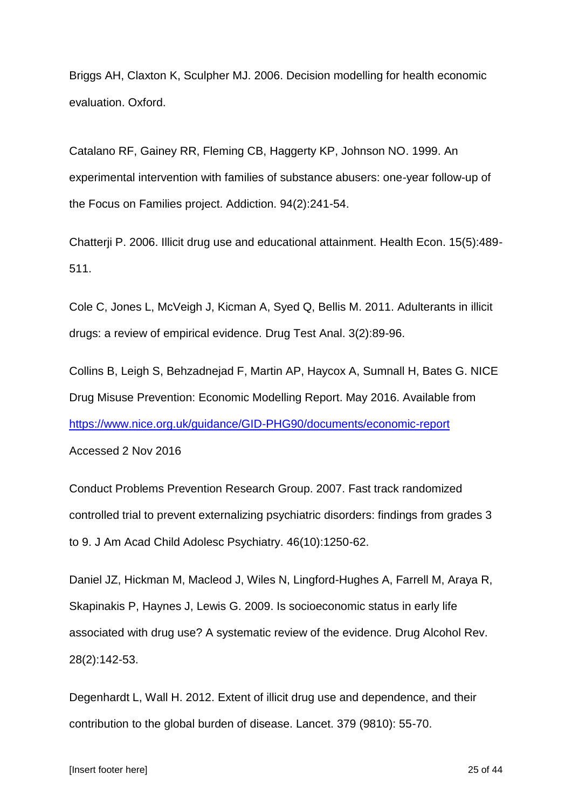Briggs AH, Claxton K, Sculpher MJ. 2006. Decision modelling for health economic evaluation. Oxford.

Catalano RF, Gainey RR, Fleming CB, Haggerty KP, Johnson NO. 1999. An experimental intervention with families of substance abusers: one-year follow-up of the Focus on Families project. Addiction. 94(2):241-54.

Chatterji P. 2006. Illicit drug use and educational attainment. Health Econ. 15(5):489- 511.

Cole C, Jones L, McVeigh J, Kicman A, Syed Q, Bellis M. 2011. Adulterants in illicit drugs: a review of empirical evidence. Drug Test Anal. 3(2):89-96.

Collins B, Leigh S, Behzadnejad F, Martin AP, Haycox A, Sumnall H, Bates G. NICE Drug Misuse Prevention: Economic Modelling Report. May 2016. Available from <https://www.nice.org.uk/guidance/GID-PHG90/documents/economic-report>

Accessed 2 Nov 2016

Conduct Problems Prevention Research Group. 2007. Fast track randomized controlled trial to prevent externalizing psychiatric disorders: findings from grades 3 to 9. J Am Acad Child Adolesc Psychiatry. 46(10):1250-62.

Daniel JZ, Hickman M, Macleod J, Wiles N, Lingford-Hughes A, Farrell M, Araya R, Skapinakis P, Haynes J, Lewis G. 2009. Is socioeconomic status in early life associated with drug use? A systematic review of the evidence. Drug Alcohol Rev. 28(2):142-53.

Degenhardt L, Wall H. 2012. Extent of illicit drug use and dependence, and their contribution to the global burden of disease. Lancet. 379 (9810): 55-70.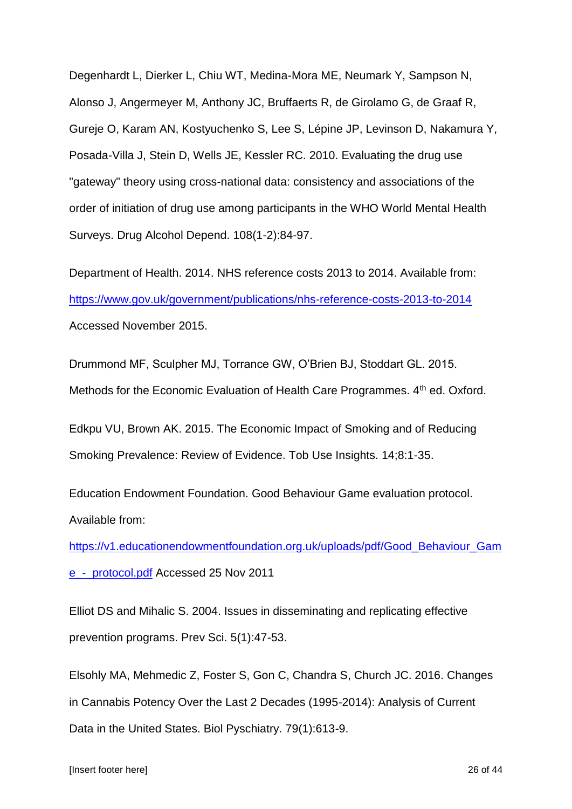Degenhardt L, Dierker L, Chiu WT, Medina-Mora ME, Neumark Y, Sampson N, Alonso J, Angermeyer M, Anthony JC, Bruffaerts R, de Girolamo G, de Graaf R, Gureje O, Karam AN, Kostyuchenko S, Lee S, Lépine JP, Levinson D, Nakamura Y, Posada-Villa J, Stein D, Wells JE, Kessler RC. 2010. Evaluating the drug use "gateway" theory using cross-national data: consistency and associations of the order of initiation of drug use among participants in the WHO World Mental Health Surveys. Drug Alcohol Depend. 108(1-2):84-97.

Department of Health. 2014. NHS reference costs 2013 to 2014. Available from: <https://www.gov.uk/government/publications/nhs-reference-costs-2013-to-2014> Accessed November 2015.

Drummond MF, Sculpher MJ, Torrance GW, O'Brien BJ, Stoddart GL. 2015. Methods for the Economic Evaluation of Health Care Programmes. 4<sup>th</sup> ed. Oxford.

Edkpu VU, Brown AK. 2015. The Economic Impact of Smoking and of Reducing Smoking Prevalence: Review of Evidence. Tob Use Insights. 14;8:1-35.

Education Endowment Foundation. Good Behaviour Game evaluation protocol. Available from:

[https://v1.educationendowmentfoundation.org.uk/uploads/pdf/Good\\_Behaviour\\_Gam](https://v1.educationendowmentfoundation.org.uk/uploads/pdf/Good_Behaviour_Game_-_protocol.pdf) [e\\_-\\_protocol.pdf](https://v1.educationendowmentfoundation.org.uk/uploads/pdf/Good_Behaviour_Game_-_protocol.pdf) Accessed 25 Nov 2011

Elliot DS and Mihalic S. 2004. Issues in disseminating and replicating effective prevention programs. Prev Sci. 5(1):47-53.

Elsohly MA, Mehmedic Z, Foster S, Gon C, Chandra S, Church JC. 2016. Changes in Cannabis Potency Over the Last 2 Decades (1995-2014): Analysis of Current Data in the United States. Biol Pyschiatry. 79(1):613-9.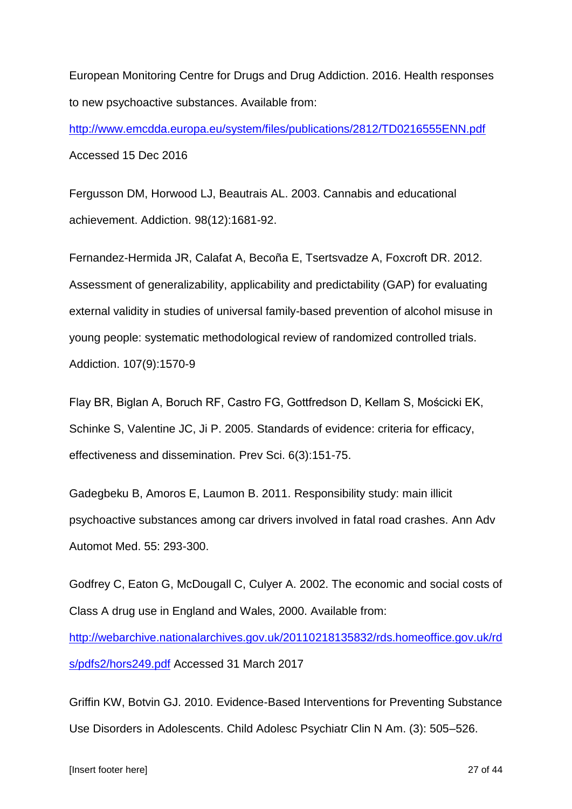European Monitoring Centre for Drugs and Drug Addiction. 2016. Health responses to new psychoactive substances. Available from:

<http://www.emcdda.europa.eu/system/files/publications/2812/TD0216555ENN.pdf> Accessed 15 Dec 2016

Fergusson DM, Horwood LJ, Beautrais AL. 2003. Cannabis and educational achievement. Addiction. 98(12):1681-92.

Fernandez-Hermida JR, Calafat A, Becoña E, Tsertsvadze A, Foxcroft DR. 2012. Assessment of generalizability, applicability and predictability (GAP) for evaluating external validity in studies of universal family-based prevention of alcohol misuse in young people: systematic methodological review of randomized controlled trials. Addiction. 107(9):1570-9

Flay BR, Biglan A, Boruch RF, Castro FG, Gottfredson D, Kellam S, Mościcki EK, Schinke S, Valentine JC, Ji P. 2005. Standards of evidence: criteria for efficacy, effectiveness and dissemination. Prev Sci. 6(3):151-75.

Gadegbeku B, Amoros E, Laumon B. 2011. Responsibility study: main illicit psychoactive substances among car drivers involved in fatal road crashes. Ann Adv Automot Med. 55: 293-300.

Godfrey C, Eaton G, McDougall C, Culyer A. 2002. The economic and social costs of Class A drug use in England and Wales, 2000. Available from: [http://webarchive.nationalarchives.gov.uk/20110218135832/rds.homeoffice.gov.uk/rd](http://webarchive.nationalarchives.gov.uk/20110218135832/rds.homeoffice.gov.uk/rds/pdfs2/hors249.pdf)

[s/pdfs2/hors249.pdf](http://webarchive.nationalarchives.gov.uk/20110218135832/rds.homeoffice.gov.uk/rds/pdfs2/hors249.pdf) Accessed 31 March 2017

Griffin KW, Botvin GJ. 2010. Evidence-Based Interventions for Preventing Substance Use Disorders in Adolescents. Child Adolesc Psychiatr Clin N Am. (3): 505–526.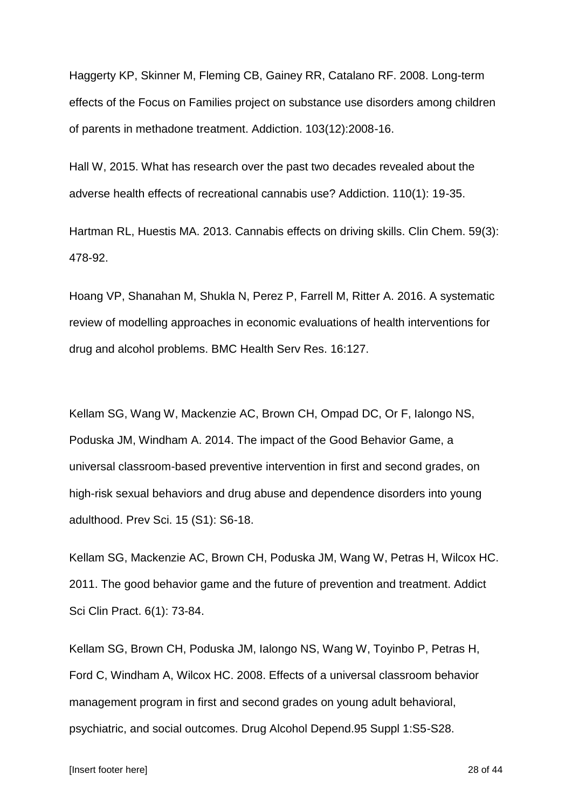Haggerty KP, Skinner M, Fleming CB, Gainey RR, Catalano RF. 2008. Long-term effects of the Focus on Families project on substance use disorders among children of parents in methadone treatment. Addiction. 103(12):2008-16.

Hall W, 2015. What has research over the past two decades revealed about the adverse health effects of recreational cannabis use? Addiction. 110(1): 19-35.

Hartman RL, Huestis MA. 2013. Cannabis effects on driving skills. Clin Chem. 59(3): 478-92.

Hoang VP, Shanahan M, Shukla N, Perez P, Farrell M, Ritter A. 2016. A systematic review of modelling approaches in economic evaluations of health interventions for drug and alcohol problems. BMC Health Serv Res. 16:127.

Kellam SG, Wang W, Mackenzie AC, Brown CH, Ompad DC, Or F, Ialongo NS, Poduska JM, Windham A. 2014. The impact of the Good Behavior Game, a universal classroom-based preventive intervention in first and second grades, on high-risk sexual behaviors and drug abuse and dependence disorders into young adulthood. Prev Sci. 15 (S1): S6-18.

Kellam SG, Mackenzie AC, Brown CH, Poduska JM, Wang W, Petras H, Wilcox HC. 2011. The good behavior game and the future of prevention and treatment. Addict Sci Clin Pract. 6(1): 73-84.

Kellam SG, Brown CH, Poduska JM, Ialongo NS, Wang W, Toyinbo P, Petras H, Ford C, Windham A, Wilcox HC. 2008. Effects of a universal classroom behavior management program in first and second grades on young adult behavioral, psychiatric, and social outcomes. Drug Alcohol Depend.95 Suppl 1:S5-S28.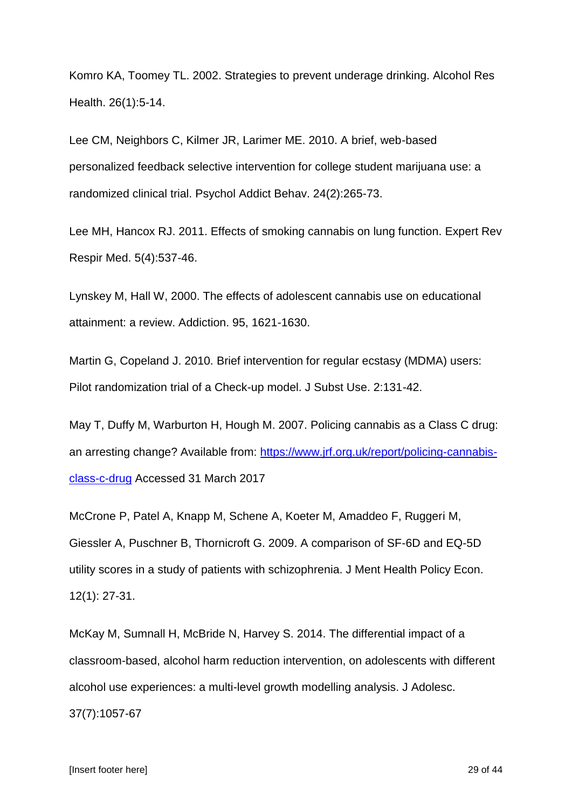Komro KA, Toomey TL. 2002. Strategies to prevent underage drinking. Alcohol Res Health. 26(1):5-14.

Lee CM, Neighbors C, Kilmer JR, Larimer ME. 2010. A brief, web-based personalized feedback selective intervention for college student marijuana use: a randomized clinical trial. Psychol Addict Behav. 24(2):265-73.

Lee MH, Hancox RJ. 2011. Effects of smoking cannabis on lung function. Expert Rev Respir Med. 5(4):537-46.

Lynskey M, Hall W, 2000. The effects of adolescent cannabis use on educational attainment: a review. Addiction. 95, 1621-1630.

Martin G, Copeland J. 2010. Brief intervention for regular ecstasy (MDMA) users: Pilot randomization trial of a Check-up model. J Subst Use. 2:131-42.

May T, Duffy M, Warburton H, Hough M. 2007. Policing cannabis as a Class C drug: an arresting change? Available from: [https://www.jrf.org.uk/report/policing-cannabis](https://www.jrf.org.uk/report/policing-cannabis-class-c-drug)[class-c-drug](https://www.jrf.org.uk/report/policing-cannabis-class-c-drug) Accessed 31 March 2017

McCrone P, Patel A, Knapp M, Schene A, Koeter M, Amaddeo F, Ruggeri M, Giessler A, Puschner B, Thornicroft G. 2009. A comparison of SF-6D and EQ-5D utility scores in a study of patients with schizophrenia. J Ment Health Policy Econ. 12(1): 27-31.

McKay M, Sumnall H, McBride N, Harvey S. 2014. The differential impact of a classroom-based, alcohol harm reduction intervention, on adolescents with different alcohol use experiences: a multi-level growth modelling analysis. J Adolesc. 37(7):1057-67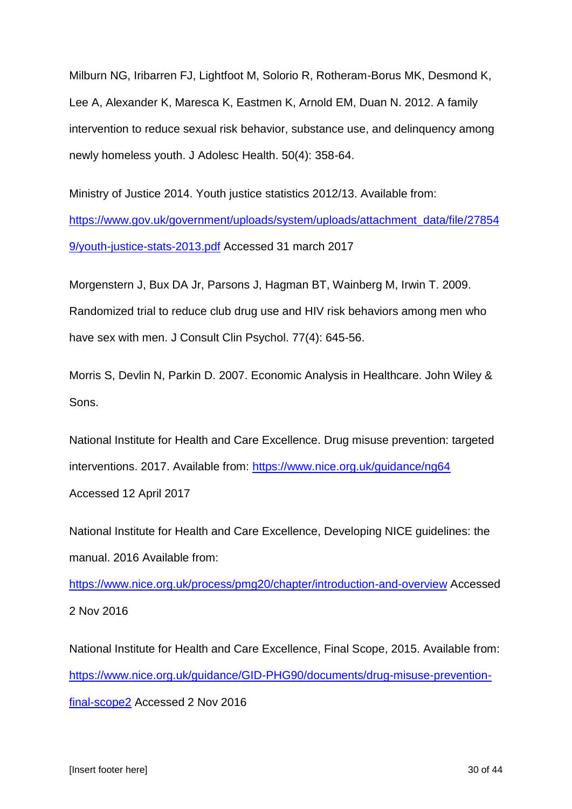Milburn NG, Iribarren FJ, Lightfoot M, Solorio R, Rotheram-Borus MK, Desmond K, Lee A, Alexander K, Maresca K, Eastmen K, Arnold EM, Duan N. 2012. A family intervention to reduce sexual risk behavior, substance use, and delinquency among newly homeless youth. J Adolesc Health. 50(4): 358-64.

Ministry of Justice 2014. Youth justice statistics 2012/13. Available from: [https://www.gov.uk/government/uploads/system/uploads/attachment\\_data/file/27854](https://www.gov.uk/government/uploads/system/uploads/attachment_data/file/278549/youth-justice-stats-2013.pdf) [9/youth-justice-stats-2013.pdf](https://www.gov.uk/government/uploads/system/uploads/attachment_data/file/278549/youth-justice-stats-2013.pdf) Accessed 31 march 2017

Morgenstern J, Bux DA Jr, Parsons J, Hagman BT, Wainberg M, Irwin T. 2009. Randomized trial to reduce club drug use and HIV risk behaviors among men who have sex with men. J Consult Clin Psychol. 77(4): 645-56.

Morris S, Devlin N, Parkin D. 2007. Economic Analysis in Healthcare. John Wiley & Sons.

National Institute for Health and Care Excellence. Drug misuse prevention: targeted interventions. 2017. Available from:<https://www.nice.org.uk/guidance/ng64> Accessed 12 April 2017

National Institute for Health and Care Excellence, Developing NICE guidelines: the manual. 2016 Available from:

<https://www.nice.org.uk/process/pmg20/chapter/introduction-and-overview> Accessed 2 Nov 2016

National Institute for Health and Care Excellence, Final Scope, 2015. Available from: [https://www.nice.org.uk/guidance/GID-PHG90/documents/drug-misuse-prevention](https://www.nice.org.uk/guidance/GID-PHG90/documents/drug-misuse-prevention-final-scope2)[final-scope2](https://www.nice.org.uk/guidance/GID-PHG90/documents/drug-misuse-prevention-final-scope2) Accessed 2 Nov 2016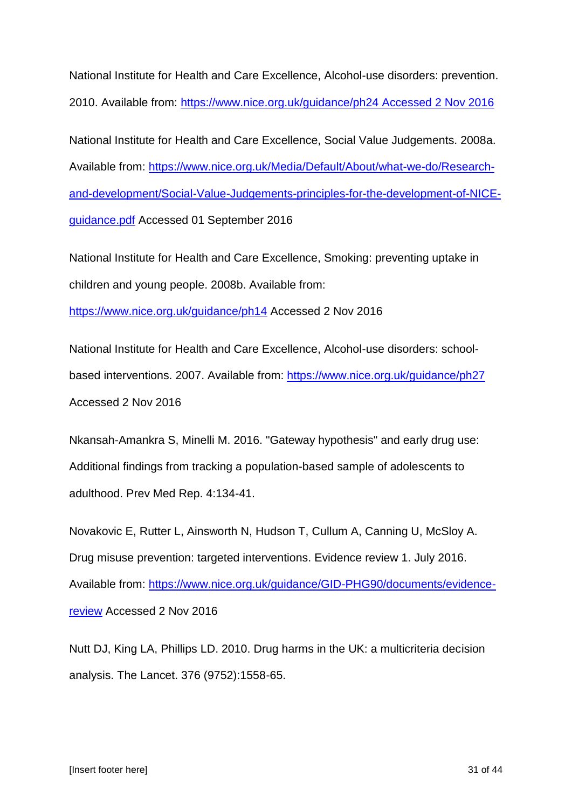National Institute for Health and Care Excellence, Alcohol-use disorders: prevention. 2010. Available from: [https://www.nice.org.uk/guidance/ph24](https://www.nice.org.uk/guidance/ph24%20Accessed%202%20Nov%202016) Accessed 2 Nov 2016

National Institute for Health and Care Excellence, Social Value Judgements. 2008a. Available from: [https://www.nice.org.uk/Media/Default/About/what-we-do/Research](https://www.nice.org.uk/Media/Default/About/what-we-do/Research-and-development/Social-Value-Judgements-principles-for-the-development-of-NICE-guidance.pdf)[and-development/Social-Value-Judgements-principles-for-the-development-of-NICE](https://www.nice.org.uk/Media/Default/About/what-we-do/Research-and-development/Social-Value-Judgements-principles-for-the-development-of-NICE-guidance.pdf)[guidance.pdf](https://www.nice.org.uk/Media/Default/About/what-we-do/Research-and-development/Social-Value-Judgements-principles-for-the-development-of-NICE-guidance.pdf) Accessed 01 September 2016

National Institute for Health and Care Excellence, Smoking: preventing uptake in children and young people. 2008b. Available from:

<https://www.nice.org.uk/guidance/ph14> Accessed 2 Nov 2016

National Institute for Health and Care Excellence, Alcohol-use disorders: schoolbased interventions. 2007. Available from:<https://www.nice.org.uk/guidance/ph27> Accessed 2 Nov 2016

Nkansah-Amankra S, Minelli M. 2016. "Gateway hypothesis" and early drug use: Additional findings from tracking a population-based sample of adolescents to adulthood. Prev Med Rep. 4:134-41.

Novakovic E, Rutter L, Ainsworth N, Hudson T, Cullum A, Canning U, McSloy A. Drug misuse prevention: targeted interventions. Evidence review 1. July 2016. Available from: [https://www.nice.org.uk/guidance/GID-PHG90/documents/evidence](https://www.nice.org.uk/guidance/GID-PHG90/documents/evidence-review)[review](https://www.nice.org.uk/guidance/GID-PHG90/documents/evidence-review) Accessed 2 Nov 2016

Nutt DJ, King LA, Phillips LD. 2010. Drug harms in the UK: a multicriteria decision analysis. The Lancet. 376 (9752):1558-65.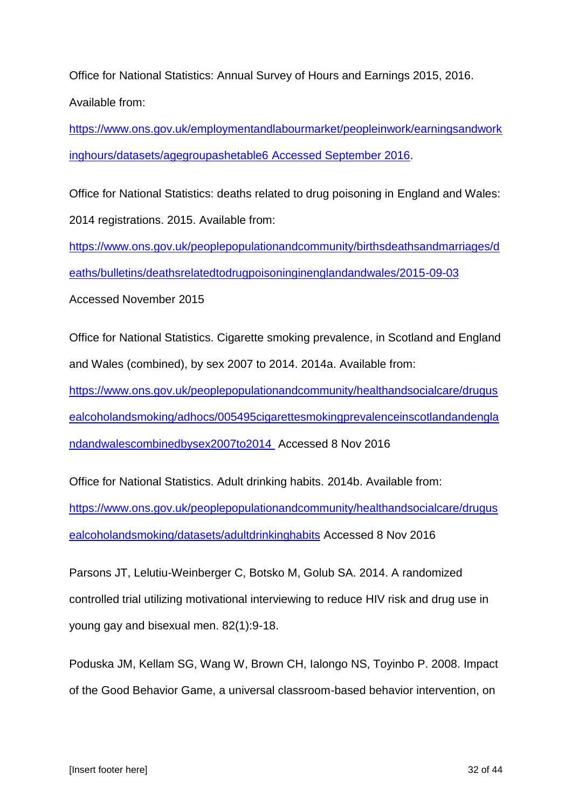Office for National Statistics: Annual Survey of Hours and Earnings 2015, 2016. Available from:

[https://www.ons.gov.uk/employmentandlabourmarket/peopleinwork/earningsandwork](https://www.ons.gov.uk/employmentandlabourmarket/peopleinwork/earningsandworkinghours/datasets/agegroupashetable6%20Accessed%20September%202016) [inghours/datasets/agegroupashetable6](https://www.ons.gov.uk/employmentandlabourmarket/peopleinwork/earningsandworkinghours/datasets/agegroupashetable6%20Accessed%20September%202016) Accessed September 2016.

Office for National Statistics: deaths related to drug poisoning in England and Wales: 2014 registrations. 2015. Available from:

[https://www.ons.gov.uk/peoplepopulationandcommunity/birthsdeathsandmarriages/d](https://www.ons.gov.uk/peoplepopulationandcommunity/birthsdeathsandmarriages/deaths/bulletins/deathsrelatedtodrugpoisoninginenglandandwales/2015-09-03) [eaths/bulletins/deathsrelatedtodrugpoisoninginenglandandwales/2015-09-03](https://www.ons.gov.uk/peoplepopulationandcommunity/birthsdeathsandmarriages/deaths/bulletins/deathsrelatedtodrugpoisoninginenglandandwales/2015-09-03) Accessed November 2015

Office for National Statistics. Cigarette smoking prevalence, in Scotland and England and Wales (combined), by sex 2007 to 2014. 2014a. Available from:

[https://www.ons.gov.uk/peoplepopulationandcommunity/healthandsocialcare/drugus](https://www.ons.gov.uk/peoplepopulationandcommunity/healthandsocialcare/drugusealcoholandsmoking/adhocs/005495cigarettesmokingprevalenceinscotlandandenglandandwalescombinedbysex2007to2014) [ealcoholandsmoking/adhocs/005495cigarettesmokingprevalenceinscotlandandengla](https://www.ons.gov.uk/peoplepopulationandcommunity/healthandsocialcare/drugusealcoholandsmoking/adhocs/005495cigarettesmokingprevalenceinscotlandandenglandandwalescombinedbysex2007to2014) [ndandwalescombinedbysex2007to2014](https://www.ons.gov.uk/peoplepopulationandcommunity/healthandsocialcare/drugusealcoholandsmoking/adhocs/005495cigarettesmokingprevalenceinscotlandandenglandandwalescombinedbysex2007to2014) Accessed 8 Nov 2016

Office for National Statistics. Adult drinking habits. 2014b. Available from: [https://www.ons.gov.uk/peoplepopulationandcommunity/healthandsocialcare/drugus](https://www.ons.gov.uk/peoplepopulationandcommunity/healthandsocialcare/drugusealcoholandsmoking/datasets/adultdrinkinghabits) [ealcoholandsmoking/datasets/adultdrinkinghabits](https://www.ons.gov.uk/peoplepopulationandcommunity/healthandsocialcare/drugusealcoholandsmoking/datasets/adultdrinkinghabits) Accessed 8 Nov 2016

Parsons JT, Lelutiu-Weinberger C, Botsko M, Golub SA. 2014. A randomized controlled trial utilizing motivational interviewing to reduce HIV risk and drug use in young gay and bisexual men. 82(1):9-18.

Poduska JM, Kellam SG, Wang W, Brown CH, Ialongo NS, Toyinbo P. 2008. Impact of the Good Behavior Game, a universal classroom-based behavior intervention, on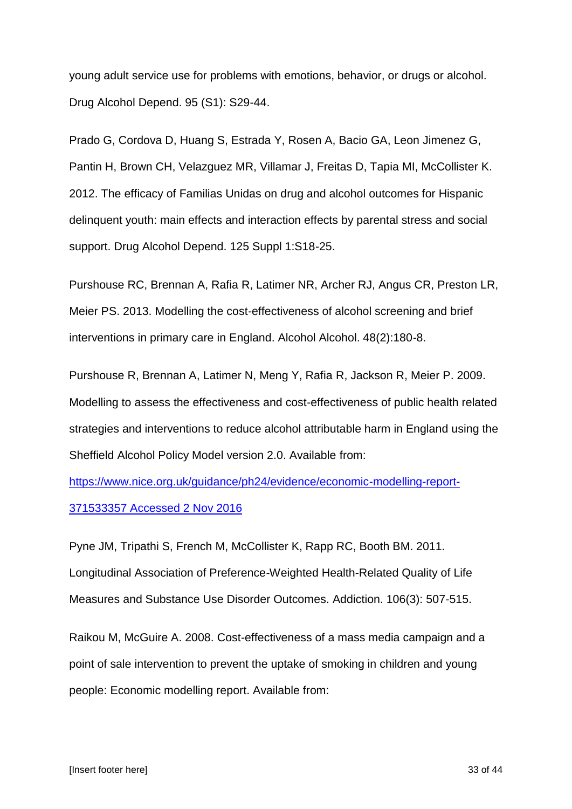young adult service use for problems with emotions, behavior, or drugs or alcohol. Drug Alcohol Depend. 95 (S1): S29-44.

Prado G, Cordova D, Huang S, Estrada Y, Rosen A, Bacio GA, Leon Jimenez G, Pantin H, Brown CH, Velazguez MR, Villamar J, Freitas D, Tapia MI, McCollister K. 2012. The efficacy of Familias Unidas on drug and alcohol outcomes for Hispanic delinquent youth: main effects and interaction effects by parental stress and social support. Drug Alcohol Depend. 125 Suppl 1:S18-25.

Purshouse RC, Brennan A, Rafia R, Latimer NR, Archer RJ, Angus CR, Preston LR, Meier PS. 2013. Modelling the cost-effectiveness of alcohol screening and brief interventions in primary care in England. Alcohol Alcohol. 48(2):180-8.

Purshouse R, Brennan A, Latimer N, Meng Y, Rafia R, Jackson R, Meier P. 2009. Modelling to assess the effectiveness and cost-effectiveness of public health related strategies and interventions to reduce alcohol attributable harm in England using the Sheffield Alcohol Policy Model version 2.0. Available from:

[https://www.nice.org.uk/guidance/ph24/evidence/economic-modelling-report-](https://www.nice.org.uk/guidance/ph24/evidence/economic-modelling-report-371533357%20Accessed%202%20Nov%202016)[371533357 Accessed 2 Nov 2016](https://www.nice.org.uk/guidance/ph24/evidence/economic-modelling-report-371533357%20Accessed%202%20Nov%202016)

Pyne JM, Tripathi S, French M, McCollister K, Rapp RC, Booth BM. 2011. Longitudinal Association of Preference-Weighted Health-Related Quality of Life Measures and Substance Use Disorder Outcomes. Addiction. 106(3): 507-515.

Raikou M, McGuire A. 2008. Cost-effectiveness of a mass media campaign and a point of sale intervention to prevent the uptake of smoking in children and young people: Economic modelling report. Available from: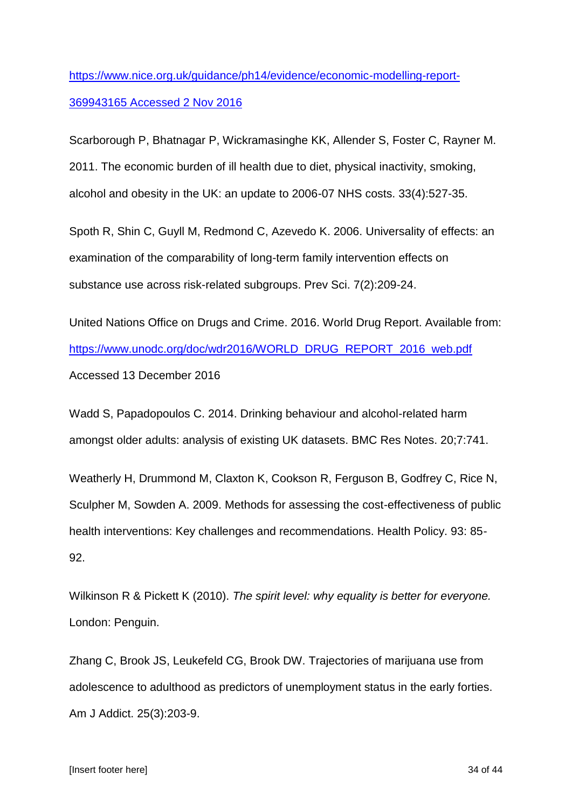[https://www.nice.org.uk/guidance/ph14/evidence/economic-modelling-report-](https://www.nice.org.uk/guidance/ph14/evidence/economic-modelling-report-369943165%20Accessed%202%20Nov%202016)[369943165 Accessed 2 Nov 2016](https://www.nice.org.uk/guidance/ph14/evidence/economic-modelling-report-369943165%20Accessed%202%20Nov%202016)

Scarborough P, Bhatnagar P, Wickramasinghe KK, Allender S, Foster C, Rayner M. 2011. The economic burden of ill health due to diet, physical inactivity, smoking, alcohol and obesity in the UK: an update to 2006-07 NHS costs. 33(4):527-35.

Spoth R, Shin C, Guyll M, Redmond C, Azevedo K. 2006. Universality of effects: an examination of the comparability of long-term family intervention effects on substance use across risk-related subgroups. Prev Sci. 7(2):209-24.

United Nations Office on Drugs and Crime. 2016. World Drug Report. Available from: [https://www.unodc.org/doc/wdr2016/WORLD\\_DRUG\\_REPORT\\_2016\\_web.pdf](https://www.unodc.org/doc/wdr2016/WORLD_DRUG_REPORT_2016_web.pdf) Accessed 13 December 2016

Wadd S, Papadopoulos C. 2014. Drinking behaviour and alcohol-related harm amongst older adults: analysis of existing UK datasets. BMC Res Notes. 20;7:741.

Weatherly H, Drummond M, Claxton K, Cookson R, Ferguson B, Godfrey C, Rice N, Sculpher M, Sowden A. 2009. Methods for assessing the cost-effectiveness of public health interventions: Key challenges and recommendations. Health Policy. 93: 85- 92.

Wilkinson R & Pickett K (2010). *The spirit level: why equality is better for everyone.*  London: Penguin.

Zhang C, Brook JS, Leukefeld CG, Brook DW. Trajectories of marijuana use from adolescence to adulthood as predictors of unemployment status in the early forties. Am J Addict. 25(3):203-9.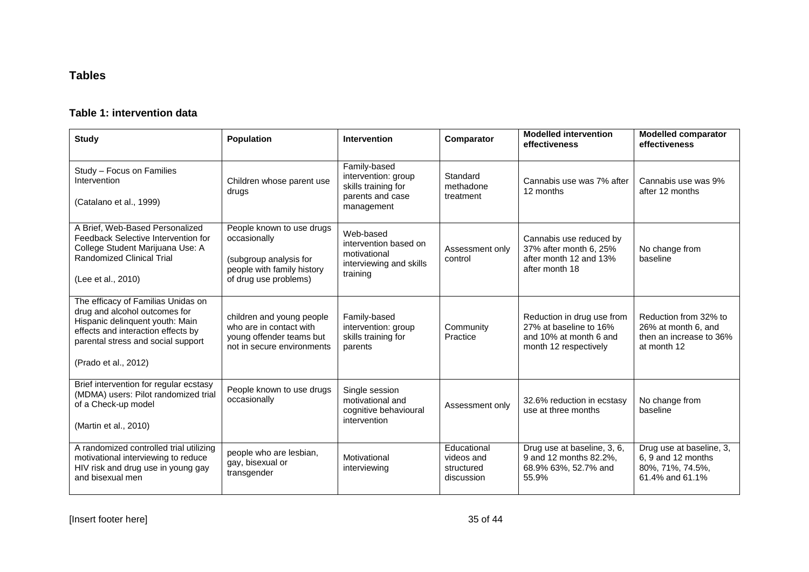## **Tables**

### **Table 1: intervention data**

| <b>Study</b>                                                                                                                                                                                               | Population                                                                                                                 | <b>Intervention</b>                                                                          | Comparator                                            | <b>Modelled intervention</b><br>effectiveness                                                           | <b>Modelled comparator</b><br>effectiveness                                            |
|------------------------------------------------------------------------------------------------------------------------------------------------------------------------------------------------------------|----------------------------------------------------------------------------------------------------------------------------|----------------------------------------------------------------------------------------------|-------------------------------------------------------|---------------------------------------------------------------------------------------------------------|----------------------------------------------------------------------------------------|
| Study - Focus on Families<br>Intervention<br>(Catalano et al., 1999)                                                                                                                                       | Children whose parent use<br>drugs                                                                                         | Family-based<br>intervention: group<br>skills training for<br>parents and case<br>management | Standard<br>methadone<br>treatment                    | Cannabis use was 7% after<br>12 months                                                                  | Cannabis use was 9%<br>after 12 months                                                 |
| A Brief, Web-Based Personalized<br>Feedback Selective Intervention for<br>College Student Marijuana Use: A<br><b>Randomized Clinical Trial</b><br>(Lee et al., 2010)                                       | People known to use drugs<br>occasionally<br>(subgroup analysis for<br>people with family history<br>of drug use problems) | Web-based<br>intervention based on<br>motivational<br>interviewing and skills<br>training    | Assessment only<br>control                            | Cannabis use reduced by<br>37% after month 6, 25%<br>after month 12 and 13%<br>after month 18           | No change from<br>baseline                                                             |
| The efficacy of Familias Unidas on<br>drug and alcohol outcomes for<br>Hispanic delinquent youth: Main<br>effects and interaction effects by<br>parental stress and social support<br>(Prado et al., 2012) | children and young people<br>who are in contact with<br>young offender teams but<br>not in secure environments             | Family-based<br>intervention: group<br>skills training for<br>parents                        | Community<br>Practice                                 | Reduction in drug use from<br>27% at baseline to 16%<br>and 10% at month 6 and<br>month 12 respectively | Reduction from 32% to<br>26% at month 6, and<br>then an increase to 36%<br>at month 12 |
| Brief intervention for regular ecstasy<br>(MDMA) users: Pilot randomized trial<br>of a Check-up model<br>(Martin et al., 2010)                                                                             | People known to use drugs<br>occasionally                                                                                  | Single session<br>motivational and<br>cognitive behavioural<br>intervention                  | Assessment only                                       | 32.6% reduction in ecstasy<br>use at three months                                                       | No change from<br>baseline                                                             |
| A randomized controlled trial utilizing<br>motivational interviewing to reduce<br>HIV risk and drug use in young gay<br>and bisexual men                                                                   | people who are lesbian,<br>gay, bisexual or<br>transgender                                                                 | Motivational<br>interviewing                                                                 | Educational<br>videos and<br>structured<br>discussion | Drug use at baseline, 3, 6,<br>9 and 12 months 82.2%,<br>68.9% 63%, 52.7% and<br>55.9%                  | Drug use at baseline, 3,<br>6, 9 and 12 months<br>80%, 71%, 74.5%,<br>61.4% and 61.1%  |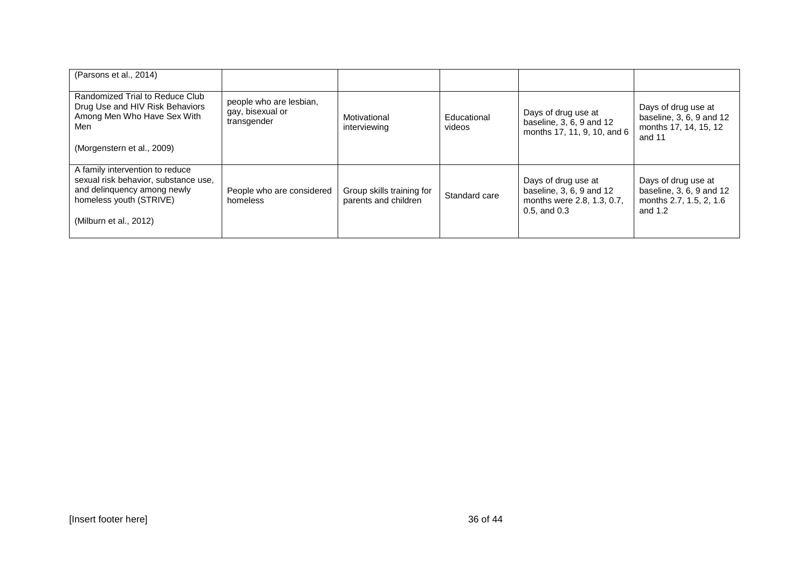| (Parsons et al., 2014)                                                                                                                                      |                                                            |                                                   |                       |                                                                                                    |                                                                                         |
|-------------------------------------------------------------------------------------------------------------------------------------------------------------|------------------------------------------------------------|---------------------------------------------------|-----------------------|----------------------------------------------------------------------------------------------------|-----------------------------------------------------------------------------------------|
| Randomized Trial to Reduce Club<br>Drug Use and HIV Risk Behaviors<br>Among Men Who Have Sex With<br>Men<br>(Morgenstern et al., 2009)                      | people who are lesbian,<br>gay, bisexual or<br>transgender | Motivational<br>interviewing                      | Educational<br>videos | Days of drug use at<br>baseline, 3, 6, 9 and 12<br>months 17, 11, 9, 10, and 6                     | Days of drug use at<br>baseline, 3, 6, 9 and 12<br>months 17, 14, 15, 12<br>and 11      |
| A family intervention to reduce<br>sexual risk behavior, substance use,<br>and delinquency among newly<br>homeless youth (STRIVE)<br>(Milburn et al., 2012) | People who are considered<br>homeless                      | Group skills training for<br>parents and children | Standard care         | Days of drug use at<br>baseline, 3, 6, 9 and 12<br>months were 2.8, 1.3, 0.7,<br>$0.5$ , and $0.3$ | Days of drug use at<br>baseline, 3, 6, 9 and 12<br>months 2.7, 1.5, 2, 1.6<br>and $1.2$ |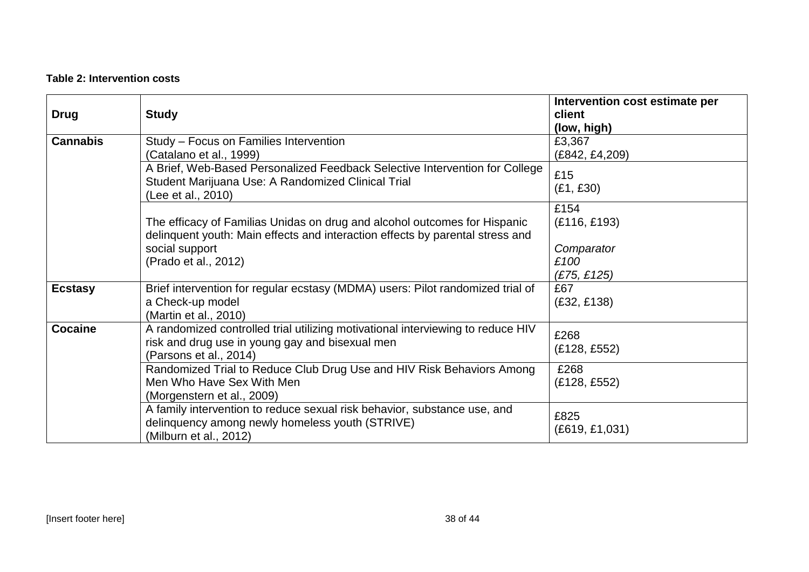### **Table 2: Intervention costs**

| <b>Drug</b>     | <b>Study</b>                                                                                                                                                 | Intervention cost estimate per<br>client<br>(low, high) |
|-----------------|--------------------------------------------------------------------------------------------------------------------------------------------------------------|---------------------------------------------------------|
| <b>Cannabis</b> | Study - Focus on Families Intervention<br>(Catalano et al., 1999)                                                                                            | £3,367<br>(£842, £4,209)                                |
|                 | A Brief, Web-Based Personalized Feedback Selective Intervention for College<br>Student Marijuana Use: A Randomized Clinical Trial<br>(Lee et al., 2010)      | £15<br>(E1, E30)                                        |
|                 | The efficacy of Familias Unidas on drug and alcohol outcomes for Hispanic<br>delinquent youth: Main effects and interaction effects by parental stress and   | £154<br>(£116, £193)                                    |
|                 | social support<br>(Prado et al., 2012)                                                                                                                       | Comparator<br>£100<br>(E75, E125)                       |
| <b>Ecstasy</b>  | Brief intervention for regular ecstasy (MDMA) users: Pilot randomized trial of<br>a Check-up model<br>(Martin et al., 2010)                                  | £67<br>(E32, E138)                                      |
| <b>Cocaine</b>  | A randomized controlled trial utilizing motivational interviewing to reduce HIV<br>risk and drug use in young gay and bisexual men<br>(Parsons et al., 2014) | £268<br>(E128, E552)                                    |
|                 | Randomized Trial to Reduce Club Drug Use and HIV Risk Behaviors Among<br>Men Who Have Sex With Men<br>(Morgenstern et al., 2009)                             | £268<br>(£128, £552)                                    |
|                 | A family intervention to reduce sexual risk behavior, substance use, and<br>delinquency among newly homeless youth (STRIVE)<br>(Milburn et al., 2012)        | £825<br>(E619, E1, 031)                                 |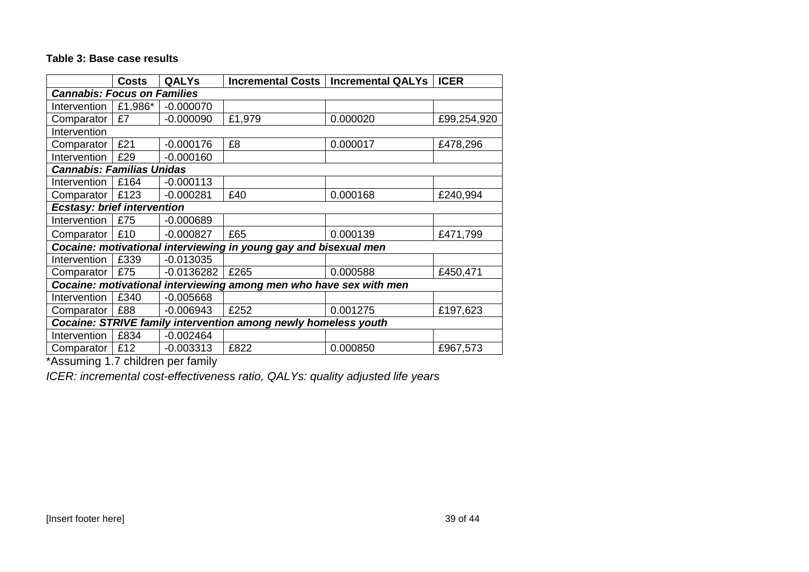### **Table 3: Base case results**

|                                                                    | <b>Costs</b> | <b>QALYs</b> |        | Incremental Costs   Incremental QALYs | <b>ICER</b> |  |  |
|--------------------------------------------------------------------|--------------|--------------|--------|---------------------------------------|-------------|--|--|
| <b>Cannabis: Focus on Families</b>                                 |              |              |        |                                       |             |  |  |
| Intervention                                                       | £1,986*      | $-0.000070$  |        |                                       |             |  |  |
| Comparator                                                         | £7           | $-0.000090$  | £1,979 | 0.000020                              | £99,254,920 |  |  |
| Intervention                                                       |              |              |        |                                       |             |  |  |
| Comparator                                                         | £21          | $-0.000176$  | £8     | 0.000017                              | £478,296    |  |  |
| Intervention                                                       | £29          | $-0.000160$  |        |                                       |             |  |  |
| <b>Cannabis: Familias Unidas</b>                                   |              |              |        |                                       |             |  |  |
| Intervention                                                       | £164         | $-0.000113$  |        |                                       |             |  |  |
| Comparator                                                         | £123         | $-0.000281$  | £40    | 0.000168                              | £240,994    |  |  |
| <b>Ecstasy: brief intervention</b>                                 |              |              |        |                                       |             |  |  |
| Intervention                                                       | £75          | $-0.000689$  |        |                                       |             |  |  |
| Comparator                                                         | £10          | $-0.000827$  | £65    | 0.000139                              | £471,799    |  |  |
| Cocaine: motivational interviewing in young gay and bisexual men   |              |              |        |                                       |             |  |  |
| Intervention                                                       | £339         | $-0.013035$  |        |                                       |             |  |  |
| Comparator                                                         | £75          | $-0.0136282$ | £265   | 0.000588                              | £450,471    |  |  |
| Cocaine: motivational interviewing among men who have sex with men |              |              |        |                                       |             |  |  |
| Intervention                                                       | £340         | $-0.005668$  |        |                                       |             |  |  |
| Comparator                                                         | £88          | $-0.006943$  | £252   | 0.001275                              | £197,623    |  |  |
| Cocaine: STRIVE family intervention among newly homeless youth     |              |              |        |                                       |             |  |  |
| Intervention                                                       | £834         | $-0.002464$  |        |                                       |             |  |  |
| Comparator                                                         | £12          | $-0.003313$  | £822   | 0.000850                              | £967,573    |  |  |

\*Assuming 1.7 children per family

*ICER: incremental cost-effectiveness ratio, QALYs: quality adjusted life years*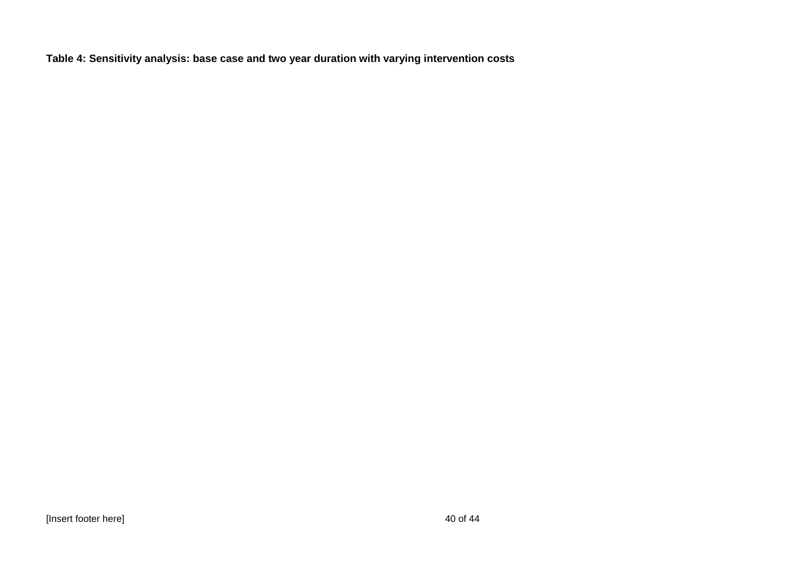**Table 4: Sensitivity analysis: base case and two year duration with varying intervention costs**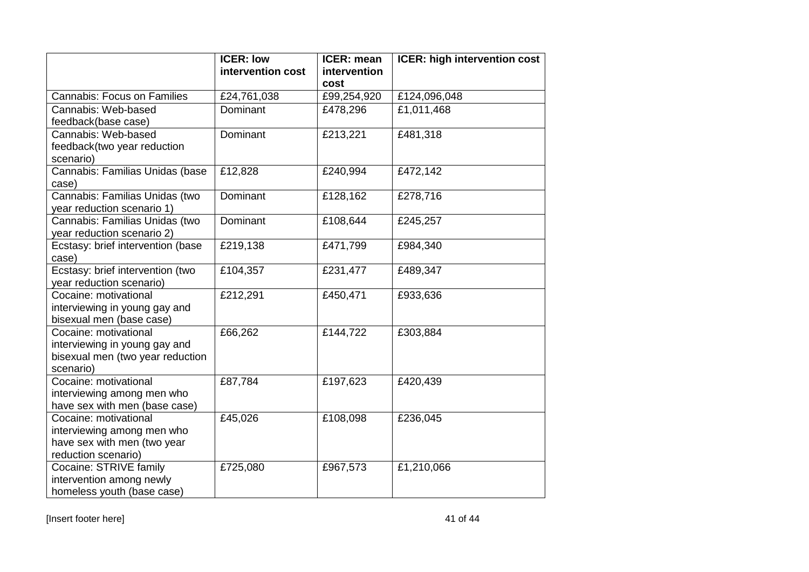|                                                                                                           | <b>ICER: Iow</b><br>intervention cost | <b>ICER: mean</b><br>intervention<br>cost | <b>ICER: high intervention cost</b> |
|-----------------------------------------------------------------------------------------------------------|---------------------------------------|-------------------------------------------|-------------------------------------|
| <b>Cannabis: Focus on Families</b>                                                                        | £24,761,038                           | £99,254,920                               | £124,096,048                        |
| Cannabis: Web-based<br>feedback(base case)                                                                | Dominant                              | £478,296                                  | £1,011,468                          |
| Cannabis: Web-based<br>feedback(two year reduction<br>scenario)                                           | Dominant                              | £213,221                                  | £481,318                            |
| Cannabis: Familias Unidas (base<br>case)                                                                  | £12,828                               | £240,994                                  | £472,142                            |
| Cannabis: Familias Unidas (two<br>year reduction scenario 1)                                              | Dominant                              | £128,162                                  | £278,716                            |
| Cannabis: Familias Unidas (two<br>year reduction scenario 2)                                              | Dominant                              | £108,644                                  | £245,257                            |
| Ecstasy: brief intervention (base<br>case)                                                                | £219,138                              | £471,799                                  | £984,340                            |
| Ecstasy: brief intervention (two<br>year reduction scenario)                                              | £104,357                              | £231,477                                  | £489,347                            |
| Cocaine: motivational<br>interviewing in young gay and<br>bisexual men (base case)                        | £212,291                              | £450,471                                  | £933,636                            |
| Cocaine: motivational<br>interviewing in young gay and<br>bisexual men (two year reduction<br>scenario)   | £66,262                               | £144,722                                  | £303,884                            |
| Cocaine: motivational<br>interviewing among men who<br>have sex with men (base case)                      | £87,784                               | £197,623                                  | £420,439                            |
| Cocaine: motivational<br>interviewing among men who<br>have sex with men (two year<br>reduction scenario) | £45,026                               | £108,098                                  | £236,045                            |
| Cocaine: STRIVE family<br>intervention among newly<br>homeless youth (base case)                          | £725,080                              | £967,573                                  | £1,210,066                          |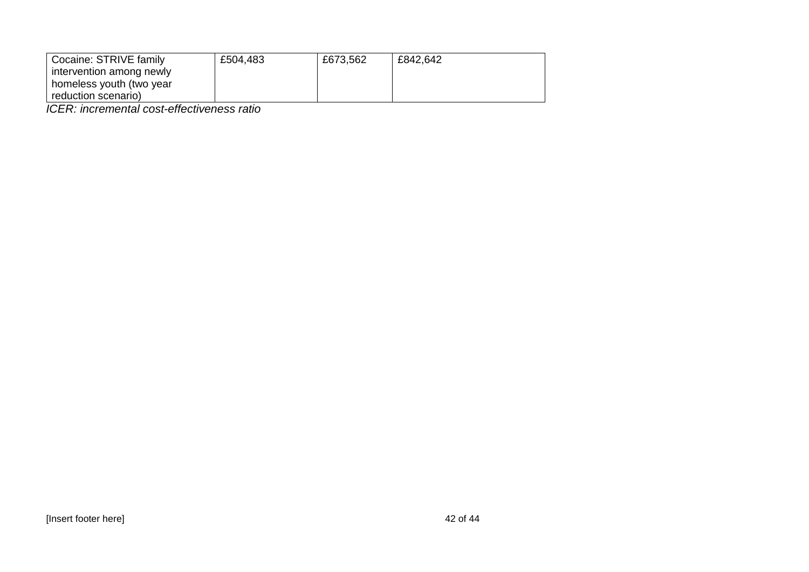| Cocaine: STRIVE family   | £504,483 | £673,562 | £842,642 |
|--------------------------|----------|----------|----------|
| intervention among newly |          |          |          |
| homeless youth (two year |          |          |          |
| reduction scenario)      |          |          |          |

*ICER: incremental cost-effectiveness ratio*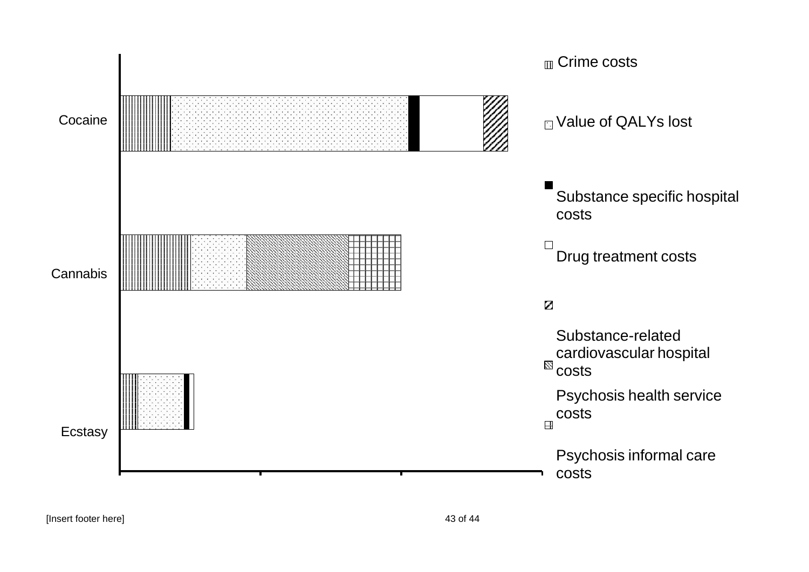